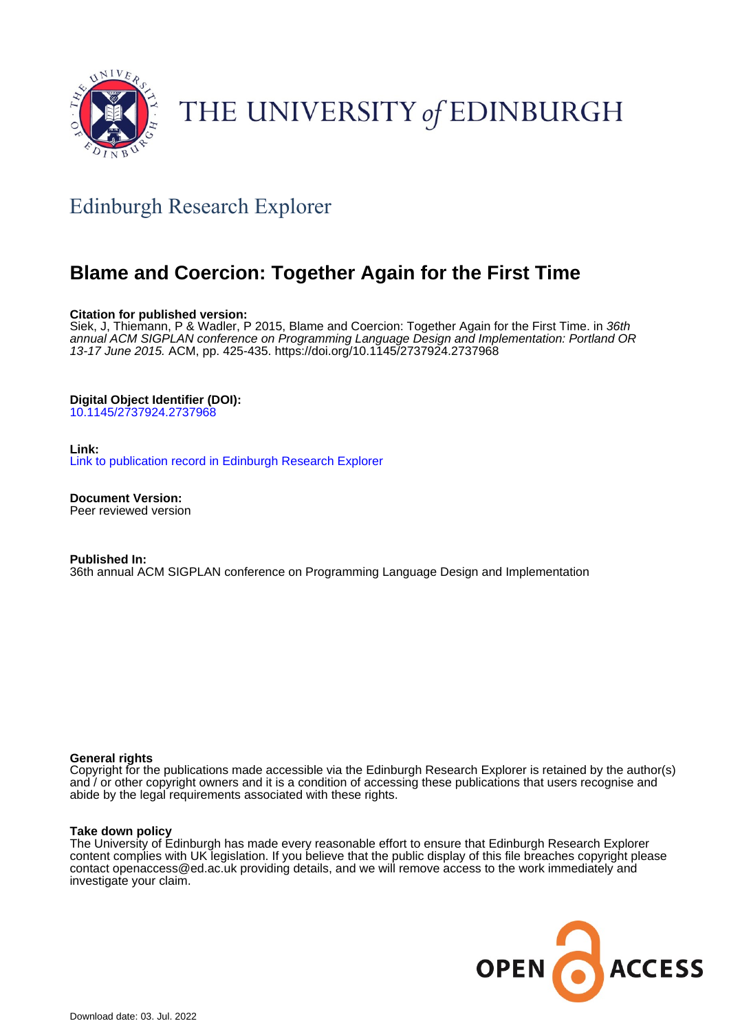

# THE UNIVERSITY of EDINBURGH

# Edinburgh Research Explorer

# **Blame and Coercion: Together Again for the First Time**

# **Citation for published version:**

Siek, J, Thiemann, P & Wadler, P 2015, Blame and Coercion: Together Again for the First Time. in 36th annual ACM SIGPLAN conference on Programming Language Design and Implementation: Portland OR 13-17 June 2015. ACM, pp. 425-435.<https://doi.org/10.1145/2737924.2737968>

# **Digital Object Identifier (DOI):**

[10.1145/2737924.2737968](https://doi.org/10.1145/2737924.2737968)

# **Link:**

[Link to publication record in Edinburgh Research Explorer](https://www.research.ed.ac.uk/en/publications/37f6aa35-66d7-466b-a1e9-8b2fed64c5b7)

**Document Version:** Peer reviewed version

**Published In:** 36th annual ACM SIGPLAN conference on Programming Language Design and Implementation

# **General rights**

Copyright for the publications made accessible via the Edinburgh Research Explorer is retained by the author(s) and / or other copyright owners and it is a condition of accessing these publications that users recognise and abide by the legal requirements associated with these rights.

# **Take down policy**

The University of Edinburgh has made every reasonable effort to ensure that Edinburgh Research Explorer content complies with UK legislation. If you believe that the public display of this file breaches copyright please contact openaccess@ed.ac.uk providing details, and we will remove access to the work immediately and investigate your claim.

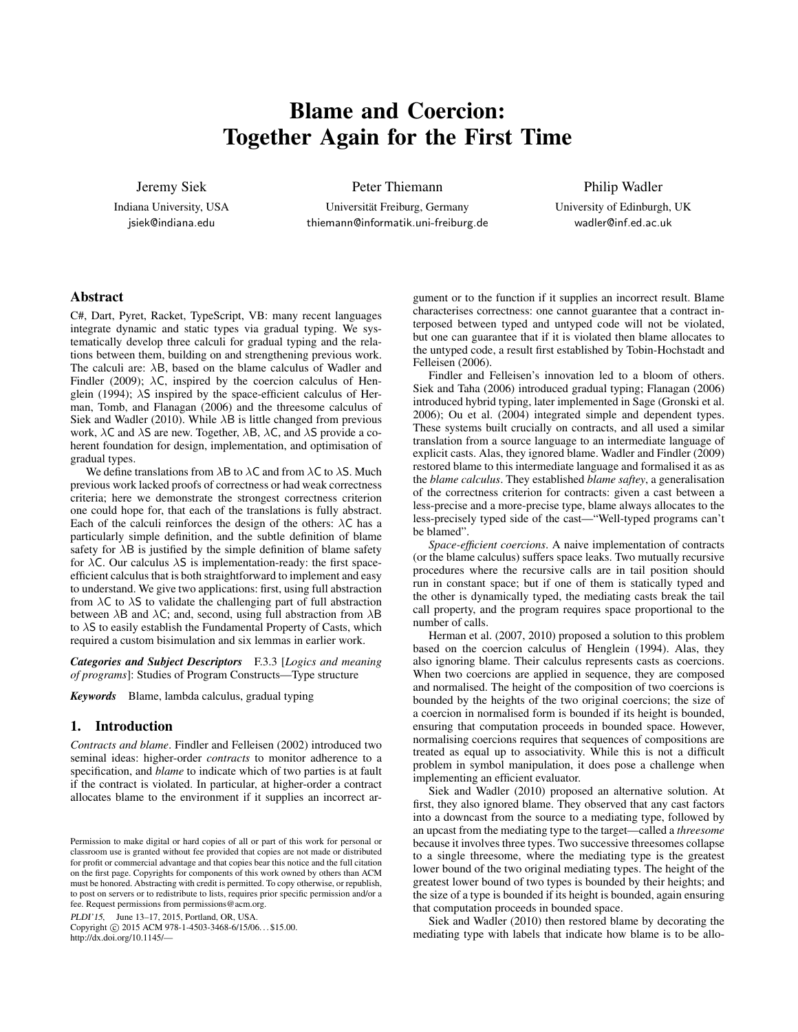# Blame and Coercion: Together Again for the First Time

Jeremy Siek

Indiana University, USA jsiek@indiana.edu

Peter Thiemann

Universität Freiburg, Germany thiemann@informatik.uni-freiburg.de Philip Wadler

University of Edinburgh, UK wadler@inf.ed.ac.uk

#### Abstract

C#, Dart, Pyret, Racket, TypeScript, VB: many recent languages integrate dynamic and static types via gradual typing. We systematically develop three calculi for gradual typing and the relations between them, building on and strengthening previous work. The calculi are:  $\lambda$ B, based on the blame calculus of Wadler and Findler (2009);  $\lambda C$ , inspired by the coercion calculus of Henglein (1994); λS inspired by the space-efficient calculus of Herman, Tomb, and Flanagan (2006) and the threesome calculus of Siek and Wadler (2010). While  $\lambda$ B is little changed from previous work,  $\lambda$ C and  $\lambda$ S are new. Together,  $\lambda$ B,  $\lambda$ C, and  $\lambda$ S provide a coherent foundation for design, implementation, and optimisation of gradual types.

We define translations from  $\lambda$ B to  $\lambda$ C and from  $\lambda$ C to  $\lambda$ S. Much previous work lacked proofs of correctness or had weak correctness criteria; here we demonstrate the strongest correctness criterion one could hope for, that each of the translations is fully abstract. Each of the calculi reinforces the design of the others:  $\lambda C$  has a particularly simple definition, and the subtle definition of blame safety for  $\lambda$ B is justified by the simple definition of blame safety for  $\lambda$ C. Our calculus  $\lambda$ S is implementation-ready: the first spaceefficient calculus that is both straightforward to implement and easy to understand. We give two applications: first, using full abstraction from  $\lambda$ C to  $\lambda$ S to validate the challenging part of full abstraction between  $\lambda$ B and  $\lambda$ C; and, second, using full abstraction from  $\lambda$ B to  $\lambda$ S to easily establish the Fundamental Property of Casts, which required a custom bisimulation and six lemmas in earlier work.

*Categories and Subject Descriptors* F.3.3 [*Logics and meaning of programs*]: Studies of Program Constructs—Type structure

*Keywords* Blame, lambda calculus, gradual typing

#### 1. Introduction

*Contracts and blame*. Findler and Felleisen (2002) introduced two seminal ideas: higher-order *contracts* to monitor adherence to a specification, and *blame* to indicate which of two parties is at fault if the contract is violated. In particular, at higher-order a contract allocates blame to the environment if it supplies an incorrect ar-

PLDI'15, June 13–17, 2015, Portland, OR, USA.

Copyright © 2015 ACM 978-1-4503-3468-6/15/06... \$15.00. http://dx.doi.org/10.1145/—

gument or to the function if it supplies an incorrect result. Blame characterises correctness: one cannot guarantee that a contract interposed between typed and untyped code will not be violated, but one can guarantee that if it is violated then blame allocates to the untyped code, a result first established by Tobin-Hochstadt and Felleisen (2006).

Findler and Felleisen's innovation led to a bloom of others. Siek and Taha (2006) introduced gradual typing; Flanagan (2006) introduced hybrid typing, later implemented in Sage (Gronski et al. 2006); Ou et al. (2004) integrated simple and dependent types. These systems built crucially on contracts, and all used a similar translation from a source language to an intermediate language of explicit casts. Alas, they ignored blame. Wadler and Findler (2009) restored blame to this intermediate language and formalised it as as the *blame calculus*. They established *blame saftey*, a generalisation of the correctness criterion for contracts: given a cast between a less-precise and a more-precise type, blame always allocates to the less-precisely typed side of the cast—"Well-typed programs can't be blamed".

*Space-efficient coercions*. A naive implementation of contracts (or the blame calculus) suffers space leaks. Two mutually recursive procedures where the recursive calls are in tail position should run in constant space; but if one of them is statically typed and the other is dynamically typed, the mediating casts break the tail call property, and the program requires space proportional to the number of calls.

Herman et al. (2007, 2010) proposed a solution to this problem based on the coercion calculus of Henglein (1994). Alas, they also ignoring blame. Their calculus represents casts as coercions. When two coercions are applied in sequence, they are composed and normalised. The height of the composition of two coercions is bounded by the heights of the two original coercions; the size of a coercion in normalised form is bounded if its height is bounded, ensuring that computation proceeds in bounded space. However, normalising coercions requires that sequences of compositions are treated as equal up to associativity. While this is not a difficult problem in symbol manipulation, it does pose a challenge when implementing an efficient evaluator.

Siek and Wadler (2010) proposed an alternative solution. At first, they also ignored blame. They observed that any cast factors into a downcast from the source to a mediating type, followed by an upcast from the mediating type to the target—called a *threesome* because it involves three types. Two successive threesomes collapse to a single threesome, where the mediating type is the greatest lower bound of the two original mediating types. The height of the greatest lower bound of two types is bounded by their heights; and the size of a type is bounded if its height is bounded, again ensuring that computation proceeds in bounded space.

Siek and Wadler (2010) then restored blame by decorating the mediating type with labels that indicate how blame is to be allo-

Permission to make digital or hard copies of all or part of this work for personal or classroom use is granted without fee provided that copies are not made or distributed for profit or commercial advantage and that copies bear this notice and the full citation on the first page. Copyrights for components of this work owned by others than ACM must be honored. Abstracting with credit is permitted. To copy otherwise, or republish, to post on servers or to redistribute to lists, requires prior specific permission and/or a fee. Request permissions from permissions@acm.org.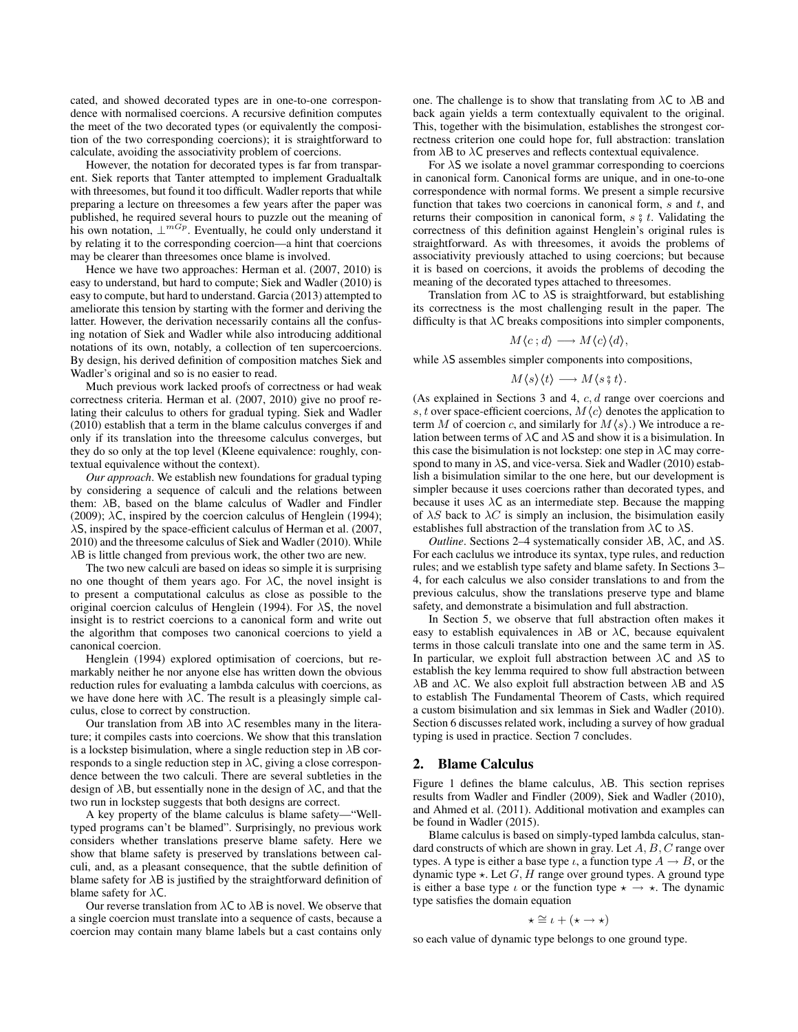cated, and showed decorated types are in one-to-one correspondence with normalised coercions. A recursive definition computes the meet of the two decorated types (or equivalently the composition of the two corresponding coercions); it is straightforward to calculate, avoiding the associativity problem of coercions.

However, the notation for decorated types is far from transparent. Siek reports that Tanter attempted to implement Gradualtalk with threesomes, but found it too difficult. Wadler reports that while preparing a lecture on threesomes a few years after the paper was published, he required several hours to puzzle out the meaning of his own notation,  $\perp^{mG_p}$ . Eventually, he could only understand it by relating it to the corresponding coercion—a hint that coercions may be clearer than threesomes once blame is involved.

Hence we have two approaches: Herman et al. (2007, 2010) is easy to understand, but hard to compute; Siek and Wadler (2010) is easy to compute, but hard to understand. Garcia (2013) attempted to ameliorate this tension by starting with the former and deriving the latter. However, the derivation necessarily contains all the confusing notation of Siek and Wadler while also introducing additional notations of its own, notably, a collection of ten supercoercions. By design, his derived definition of composition matches Siek and Wadler's original and so is no easier to read.

Much previous work lacked proofs of correctness or had weak correctness criteria. Herman et al. (2007, 2010) give no proof relating their calculus to others for gradual typing. Siek and Wadler (2010) establish that a term in the blame calculus converges if and only if its translation into the threesome calculus converges, but they do so only at the top level (Kleene equivalence: roughly, contextual equivalence without the context).

*Our approach*. We establish new foundations for gradual typing by considering a sequence of calculi and the relations between them: λB, based on the blame calculus of Wadler and Findler (2009);  $\lambda$ C, inspired by the coercion calculus of Henglein (1994);  $\lambda$ S, inspired by the space-efficient calculus of Herman et al. (2007, 2010) and the threesome calculus of Siek and Wadler (2010). While  $\lambda$ B is little changed from previous work, the other two are new.

The two new calculi are based on ideas so simple it is surprising no one thought of them years ago. For  $\lambda C$ , the novel insight is to present a computational calculus as close as possible to the original coercion calculus of Henglein (1994). For  $\lambda$ S, the novel insight is to restrict coercions to a canonical form and write out the algorithm that composes two canonical coercions to yield a canonical coercion.

Henglein (1994) explored optimisation of coercions, but remarkably neither he nor anyone else has written down the obvious reduction rules for evaluating a lambda calculus with coercions, as we have done here with  $\lambda C$ . The result is a pleasingly simple calculus, close to correct by construction.

Our translation from  $\lambda$ B into  $\lambda$ C resembles many in the literature; it compiles casts into coercions. We show that this translation is a lockstep bisimulation, where a single reduction step in  $\lambda$ B corresponds to a single reduction step in  $\lambda C$ , giving a close correspondence between the two calculi. There are several subtleties in the design of  $\lambda$ B, but essentially none in the design of  $\lambda$ C, and that the two run in lockstep suggests that both designs are correct.

A key property of the blame calculus is blame safety—"Welltyped programs can't be blamed". Surprisingly, no previous work considers whether translations preserve blame safety. Here we show that blame safety is preserved by translations between calculi, and, as a pleasant consequence, that the subtle definition of blame safety for  $\lambda$ B is justified by the straightforward definition of blame safety for  $\lambda C$ .

Our reverse translation from  $\lambda C$  to  $\lambda B$  is novel. We observe that a single coercion must translate into a sequence of casts, because a coercion may contain many blame labels but a cast contains only one. The challenge is to show that translating from  $\lambda C$  to  $\lambda B$  and back again yields a term contextually equivalent to the original. This, together with the bisimulation, establishes the strongest correctness criterion one could hope for, full abstraction: translation from  $\lambda$ B to  $\lambda$ C preserves and reflects contextual equivalence.

For  $\lambda$ S we isolate a novel grammar corresponding to coercions in canonical form. Canonical forms are unique, and in one-to-one correspondence with normal forms. We present a simple recursive function that takes two coercions in canonical form,  $s$  and  $t$ , and returns their composition in canonical form,  $s \, \hat{\sigma} t$ . Validating the correctness of this definition against Henglein's original rules is straightforward. As with threesomes, it avoids the problems of associativity previously attached to using coercions; but because it is based on coercions, it avoids the problems of decoding the meaning of the decorated types attached to threesomes.

Translation from  $\lambda C$  to  $\lambda S$  is straightforward, but establishing its correctness is the most challenging result in the paper. The difficulty is that  $\lambda C$  breaks compositions into simpler components,

$$
M\langle c\,;d\rangle\longrightarrow M\langle c\rangle\langle d\rangle,
$$

while  $\lambda$ S assembles simpler components into compositions,

$$
M\langle s\rangle\langle t\rangle \longrightarrow M\langle s\overset{\circ}{,}t\rangle.
$$

(As explained in Sections 3 and 4, c, d range over coercions and s, t over space-efficient coercions,  $M\langle c \rangle$  denotes the application to term M of coercion c, and similarly for  $M\langle s\rangle$ .) We introduce a relation between terms of  $\lambda C$  and  $\lambda S$  and show it is a bisimulation. In this case the bisimulation is not lockstep: one step in  $\lambda C$  may correspond to many in  $\lambda$ S, and vice-versa. Siek and Wadler (2010) establish a bisimulation similar to the one here, but our development is simpler because it uses coercions rather than decorated types, and because it uses  $\lambda C$  as an intermediate step. Because the mapping of  $\lambda S$  back to  $\lambda C$  is simply an inclusion, the bisimulation easily establishes full abstraction of the translation from  $\lambda C$  to  $\lambda S$ .

*Outline*. Sections 2–4 systematically consider  $\lambda$ B,  $\lambda$ C, and  $\lambda$ S. For each caclulus we introduce its syntax, type rules, and reduction rules; and we establish type safety and blame safety. In Sections 3– 4, for each calculus we also consider translations to and from the previous calculus, show the translations preserve type and blame safety, and demonstrate a bisimulation and full abstraction.

In Section 5, we observe that full abstraction often makes it easy to establish equivalences in  $\lambda$ B or  $\lambda$ C, because equivalent terms in those calculi translate into one and the same term in  $\lambda S$ . In particular, we exploit full abstraction between  $\lambda C$  and  $\lambda S$  to establish the key lemma required to show full abstraction between  $\lambda$ B and  $\lambda$ C. We also exploit full abstraction between  $\lambda$ B and  $\lambda$ S to establish The Fundamental Theorem of Casts, which required a custom bisimulation and six lemmas in Siek and Wadler (2010). Section 6 discusses related work, including a survey of how gradual typing is used in practice. Section 7 concludes.

#### 2. Blame Calculus

Figure 1 defines the blame calculus,  $\lambda$ B. This section reprises results from Wadler and Findler (2009), Siek and Wadler (2010), and Ahmed et al. (2011). Additional motivation and examples can be found in Wadler (2015).

Blame calculus is based on simply-typed lambda calculus, standard constructs of which are shown in gray. Let  $A, B, C$  range over types. A type is either a base type  $\iota$ , a function type  $A \to B$ , or the dynamic type  $\star$ . Let  $G, H$  range over ground types. A ground type is either a base type  $\iota$  or the function type  $\star \to \star$ . The dynamic type satisfies the domain equation

$$
\star \cong \iota + (\star \to \star)
$$

so each value of dynamic type belongs to one ground type.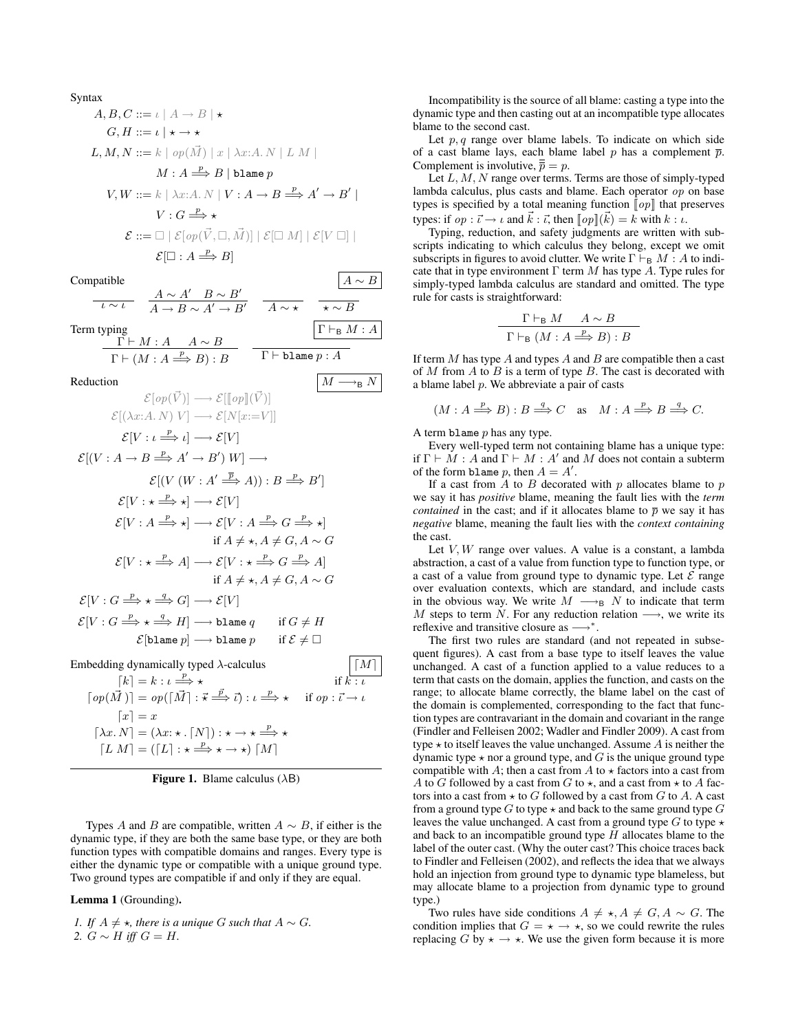| Syntax                                                                                                                     | $A, B, C ::= \iota \mid A \rightarrow B \mid *$ |
|----------------------------------------------------------------------------------------------------------------------------|-------------------------------------------------|
| $G, H ::= \iota \mid *$                                                                                                    |                                                 |
| $L, M, N ::= k \mid op(\vec{M}) \mid x \mid \lambda x:A, N \mid L M \mid$                                                  |                                                 |
| $M : A \xrightarrow{P} B \mid \text{blame } p$                                                                             |                                                 |
| $V, W ::= k \mid \lambda x:A, N \mid V : A \rightarrow B \xrightarrow{P} A' \rightarrow B' \mid$                           |                                                 |
| $V : G \xrightarrow{P} *$                                                                                                  |                                                 |
| $\mathcal{E} ::= \Box \mid \mathcal{E}[op(\vec{V}, \Box, \vec{M})] \mid \mathcal{E}[\Box M] \mid \mathcal{E}[V \Box] \mid$ |                                                 |
| $\mathcal{E}[\Box : A \xrightarrow{P} B]$                                                                                  |                                                 |

Compatible  $\left| A \sim B \right|$ 

$$
\frac{A \sim A' \quad B \sim B'}{A \rightarrow B \sim A' \rightarrow B'} \quad \frac{A \sim A' \quad B \sim B'}{A \sim \star} \quad \frac{B \sim B'}{\star \sim B}
$$
\nTerm typing

\n
$$
\frac{\Gamma \vdash M : A \quad A \sim B}{\Gamma \vdash (M : A \xrightarrow{p} B) : B} \quad \frac{\Gamma \vdash_B M : A}{\Gamma \vdash \text{blame } p : A}
$$

Reduction  $\mid M \longrightarrow_B N$ 

$$
\mathcal{E}[op(\vec{V})] \longrightarrow \mathcal{E}[[op](\vec{V})]
$$
\n
$$
\mathcal{E}[(\lambda x:A. N) V] \longrightarrow \mathcal{E}[N[x:=V]]
$$
\n
$$
\mathcal{E}[V : \iota \xrightarrow{p} \iota] \longrightarrow \mathcal{E}[V]
$$
\n
$$
\mathcal{E}[(V : A \rightarrow B \xrightarrow{p} A' \rightarrow B') W] \longrightarrow
$$
\n
$$
\mathcal{E}[(V (W : A' \xrightarrow{\overline{p}} A)) : B \xrightarrow{p} B']
$$
\n
$$
\mathcal{E}[V : \star \xrightarrow{p} \star] \longrightarrow \mathcal{E}[V]
$$
\n
$$
\mathcal{E}[V : A \xrightarrow{p} \star] \longrightarrow \mathcal{E}[V : A \xrightarrow{p} G \xrightarrow{p} \star]
$$
\nif  $A \neq \star, A \neq G, A \sim G$ \n
$$
\mathcal{E}[V : \star \xrightarrow{p} A] \longrightarrow \mathcal{E}[V : \star \xrightarrow{p} G \xrightarrow{p} A]
$$
\nif  $A \neq \star, A \neq G, A \sim G$ \n
$$
\mathcal{E}[V : G \xrightarrow{p} \star \xrightarrow{q} G] \longrightarrow \mathcal{E}[V]
$$
\n
$$
\mathcal{E}[V : G \xrightarrow{p} \star \xrightarrow{q} H] \longrightarrow \text{blame } q \quad \text{if } G \neq H
$$
\n
$$
\mathcal{E}[\text{blame } p] \longrightarrow \text{blame } p \quad \text{if } \mathcal{E} \neq \Box
$$
\nEmbedding dynamically typed  $\lambda$ -calculus\n
$$
\boxed{M}
$$
\n
$$
[M]
$$

 $\lceil op(\vec{M}) \rceil = op(\lceil \vec{M} \rceil : \vec{\star} \stackrel{\vec{p}}{\Longrightarrow} \vec{\iota} ) : \iota \stackrel{p}{\Longrightarrow}$ if  $op : \vec{\iota} \to \iota$  $\lceil x \rceil = x$  $[\lambda x. N] = (\lambda x: \star . \lceil N \rceil) : \star \to \star \stackrel{p}{\Longrightarrow} \star$  $[L M] = ([L] : \star \stackrel{p}{\Longrightarrow} \star \to \star) [M]$ 

Figure 1. Blame calculus  $(AB)$ 

Types A and B are compatible, written  $A \sim B$ , if either is the dynamic type, if they are both the same base type, or they are both function types with compatible domains and ranges. Every type is either the dynamic type or compatible with a unique ground type. Two ground types are compatible if and only if they are equal.

#### Lemma 1 (Grounding).

*1. If*  $A \neq \star$ *, there is a unique G such that*  $A \sim G$ *. 2.*  $G ∼ H$  *iff*  $G = H$ *.* 

Incompatibility is the source of all blame: casting a type into the dynamic type and then casting out at an incompatible type allocates blame to the second cast.

Let  $p, q$  range over blame labels. To indicate on which side of a cast blame lays, each blame label p has a complement  $\bar{p}$ . Complement is involutive,  $\overline{\overline{p}} = p$ .

Let  $L, M, N$  range over terms. Terms are those of simply-typed lambda calculus, plus casts and blame. Each operator op on base types is specified by a total meaning function  $[op]$  that preserves types: if  $op : \vec{\iota} \to \iota$  and  $k : \vec{\iota}$ , then  $[op](k) = k$  with  $k : \iota$ .

Typing, reduction, and safety judgments are written with subscripts indicating to which calculus they belong, except we omit subscripts in figures to avoid clutter. We write  $\Gamma \vdash_{\mathsf{B}} M : A$  to indicate that in type environment  $\Gamma$  term M has type A. Type rules for simply-typed lambda calculus are standard and omitted. The type rule for casts is straightforward:

$$
\frac{\Gamma \vdash_{\mathsf{B}} M \quad A \sim B}{\Gamma \vdash_{\mathsf{B}} (M : A \xrightarrow{p} B) : B}
$$

If term  $M$  has type  $A$  and types  $A$  and  $B$  are compatible then a cast of  $M$  from  $A$  to  $B$  is a term of type  $B$ . The cast is decorated with a blame label p. We abbreviate a pair of casts

$$
(M: A \stackrel{p}{\Longrightarrow} B): B \stackrel{q}{\Longrightarrow} C
$$
 as  $M: A \stackrel{p}{\Longrightarrow} B \stackrel{q}{\Longrightarrow} C$ .

A term blame  $p$  has any type.

Every well-typed term not containing blame has a unique type: if  $\Gamma \vdash M : A$  and  $\Gamma \vdash M : A'$  and M does not contain a subterm of the form blame p, then  $A = A'$ .

If a cast from  $A$  to  $B$  decorated with  $p$  allocates blame to  $p$ we say it has *positive* blame, meaning the fault lies with the *term contained* in the cast; and if it allocates blame to  $\bar{p}$  we say it has *negative* blame, meaning the fault lies with the *context containing* the cast.

Let  $V, W$  range over values. A value is a constant, a lambda abstraction, a cast of a value from function type to function type, or a cast of a value from ground type to dynamic type. Let  $\mathcal E$  range over evaluation contexts, which are standard, and include casts in the obvious way. We write  $M \longrightarrow_B N$  to indicate that term M steps to term N. For any reduction relation  $\longrightarrow$ , we write its reflexive and transitive closure as  $\longrightarrow^*$ .

The first two rules are standard (and not repeated in subsequent figures). A cast from a base type to itself leaves the value unchanged. A cast of a function applied to a value reduces to a term that casts on the domain, applies the function, and casts on the range; to allocate blame correctly, the blame label on the cast of the domain is complemented, corresponding to the fact that function types are contravariant in the domain and covariant in the range (Findler and Felleisen 2002; Wadler and Findler 2009). A cast from type  $\star$  to itself leaves the value unchanged. Assume  $A$  is neither the dynamic type  $\star$  nor a ground type, and G is the unique ground type compatible with A; then a cast from A to  $\star$  factors into a cast from A to G followed by a cast from G to  $\star$ , and a cast from  $\star$  to A factors into a cast from  $\star$  to G followed by a cast from G to A. A cast from a ground type  $G$  to type  $\star$  and back to the same ground type  $G$ leaves the value unchanged. A cast from a ground type G to type  $\star$ and back to an incompatible ground type  $H$  allocates blame to the label of the outer cast. (Why the outer cast? This choice traces back to Findler and Felleisen (2002), and reflects the idea that we always hold an injection from ground type to dynamic type blameless, but may allocate blame to a projection from dynamic type to ground type.)

Two rules have side conditions  $A \neq \star, A \neq G, A \sim G$ . The condition implies that  $G = \star \rightarrow \star$ , so we could rewrite the rules replacing G by  $\star \to \star$ . We use the given form because it is more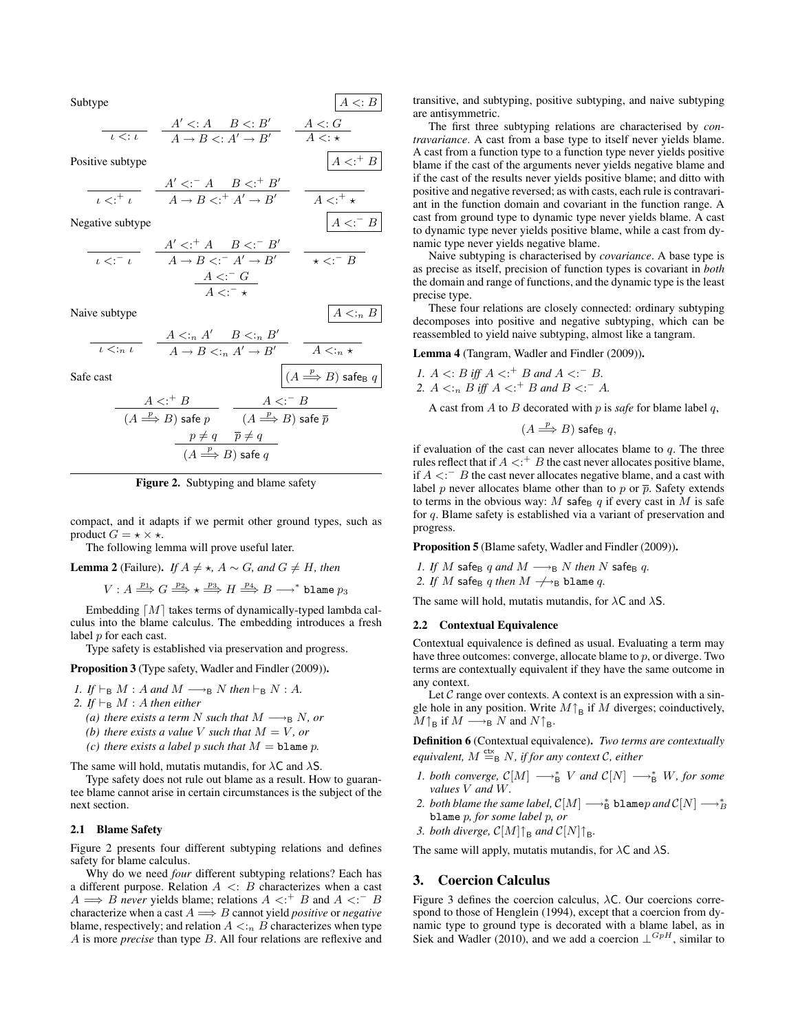Subtype  $|A \prec B$ 

$$
\frac{A' < A \quad B < B'}{A \to B < A' \to B'} \quad \frac{A < B'}{A < A'}
$$

 $4 \lt: ^+ B$ 

 $-$  B

 $\stackrel{p}{\Longrightarrow} B$ ) safe<sub>B</sub>  $q$ 

Positive subtype

$$
\frac{A' < A' < A' < B' \\
\hline\nA \to B < A' > B' \\
\hline\nA \to B' < A' > B'\n\end{aligned}
$$

Negative subtype

$$
\begin{array}{c}\nA' < A' < A' < B < A' < B' \\
\hline\nA \rightarrow B < A' > B' & \star < A \rightarrow B \\
\hline\nA < A < A \\
\hline\nA < A < A\n\end{array}
$$

Naive subtype  $A \leq n B$ 

$$
\frac{A \leq_{n} A' \qquad B \leq_{n} B'}{A \to B \leq_{n} A' \to B'} \qquad \frac{A \leq_{n} A \leq_{n} A'}{A \leq_{n} A}
$$

Safe cast

$$
\frac{A < f \uparrow B}{(A \xrightarrow{p} B) \text{ safe } p} \qquad \frac{A < f \uparrow B}{(A \xrightarrow{p} B) \text{ safe } \overline{p}}
$$
\n
$$
\frac{p \neq q \qquad \overline{p} \neq q}{(A \xrightarrow{p} B) \text{ safe } q}
$$
\n
$$
\frac{p \neq q \qquad \overline{p} \neq q}{(A \xrightarrow{p} B) \text{ safe } q}
$$



compact, and it adapts if we permit other ground types, such as product  $G = \star \times \star$ .

The following lemma will prove useful later.

**Lemma 2** (Failure). *If*  $A \neq \star$ ,  $A \sim G$ , and  $G \neq H$ , then

$$
V: A \stackrel{p_1}{\Longrightarrow} G \stackrel{p_2}{\Longrightarrow} \star \stackrel{p_3}{\Longrightarrow} H \stackrel{p_4}{\Longrightarrow} B \stackrel{}{\longrightarrow}^*
$$
blame  $p_3$ 

Embedding  $[M]$  takes terms of dynamically-typed lambda calculus into the blame calculus. The embedding introduces a fresh label p for each cast.

Type safety is established via preservation and progress.

Proposition 3 (Type safety, Wadler and Findler (2009)).

- *1. If*  $\vdash_B M$  : A and  $M \longrightarrow_B N$  then  $\vdash_B N$  : A.
- 2. If  $\vdash_B M$  : A then either
	- *(a) there exists a term* N *such that*  $M \rightarrow_{B} N$ *, or*
	- *(b) there exists a value V such that*  $M = V$ *, or*
	- *(c) there exists a label* p *such that*  $M =$  **blame** p.

The same will hold, mutatis mutandis, for  $\lambda C$  and  $\lambda S$ .

Type safety does not rule out blame as a result. How to guarantee blame cannot arise in certain circumstances is the subject of the next section.

#### 2.1 Blame Safety

Figure 2 presents four different subtyping relations and defines safety for blame calculus.

Why do we need *four* different subtyping relations? Each has a different purpose. Relation  $A \leq B$  characterizes when a cast  $A \Longrightarrow B$  *never* yields blame; relations  $A \prec^+ B$  and  $A \prec^- B$ characterize when a cast  $A \Longrightarrow B$  cannot yield *positive* or *negative* blame, respectively; and relation  $A \leq_{n} B$  characterizes when type A is more *precise* than type B. All four relations are reflexive and transitive, and subtyping, positive subtyping, and naive subtyping are antisymmetric.

The first three subtyping relations are characterised by *contravariance*. A cast from a base type to itself never yields blame. A cast from a function type to a function type never yields positive blame if the cast of the arguments never yields negative blame and if the cast of the results never yields positive blame; and ditto with positive and negative reversed; as with casts, each rule is contravariant in the function domain and covariant in the function range. A cast from ground type to dynamic type never yields blame. A cast to dynamic type never yields positive blame, while a cast from dynamic type never yields negative blame.

Naive subtyping is characterised by *covariance*. A base type is as precise as itself, precision of function types is covariant in *both* the domain and range of functions, and the dynamic type is the least precise type.

These four relations are closely connected: ordinary subtyping decomposes into positive and negative subtyping, which can be reassembled to yield naive subtyping, almost like a tangram.

Lemma 4 (Tangram, Wadler and Findler (2009)).

\n- $$
A <: B
$$
 iff  $A <: ^+ B$  and  $A <: ^- B$ .
\n- $A <: _n B$  iff  $A <: ^+ B$  and  $B <: ^- A$ .
\n

A cast from  $A$  to  $B$  decorated with  $p$  is *safe* for blame label  $q$ ,

$$
(A \Longrightarrow^p B) \text{ safe}_B q,
$$

if evaluation of the cast can never allocates blame to  $q$ . The three rules reflect that if  $A \lt f^+ B$  the cast never allocates positive blame, if  $A \leq C^{-1}$  B the cast never allocates negative blame, and a cast with label p never allocates blame other than to p or  $\bar{p}$ . Safety extends to terms in the obvious way: M safe<sub>B</sub> q if every cast in M is safe for q. Blame safety is established via a variant of preservation and progress.

Proposition 5 (Blame safety, Wadler and Findler (2009)).

- *1. If*  $M$  safe<sub>B</sub> q and  $M \longrightarrow_B N$  *then*  $N$  safe<sub>B</sub> q.
- 2. If M safe<sub>B</sub> q then  $M \nrightarrow$ B blame q.

The same will hold, mutatis mutandis, for  $\lambda$ C and  $\lambda$ S.

#### 2.2 Contextual Equivalence

Contextual equivalence is defined as usual. Evaluating a term may have three outcomes: converge, allocate blame to  $p$ , or diverge. Two terms are contextually equivalent if they have the same outcome in any context.

Let  $C$  range over contexts. A context is an expression with a single hole in any position. Write  $M\uparrow_B$  if  $M$  diverges; coinductively,  $M\uparrow_B$  if  $M \longrightarrow_B N$  and  $N\uparrow_B$ .

Definition 6 (Contextual equivalence). *Two terms are contextually*  $\epsilon$ *equivalent,*  $M \stackrel{\text{ctx}}{=} B N$ *, if for any context*  $\mathcal{C}$ *, either* 

- *1. both converge,*  $\mathcal{C}[M] \longrightarrow_B^* V$  *and*  $\mathcal{C}[N] \longrightarrow_B^* W$ *, for some values* V *and* W*.*
- 2. *both blame the same label,*  $\mathcal{C}[M] \longrightarrow_B^*$  *<code>blame</code>*  $p$  *and*  $\mathcal{C}[N] \longrightarrow_B^*$ blame p*, for some label* p*, or*
- 3. *both diverge,*  $C[M]$ <sup> $\uparrow$ </sup><sub>B</sub> *and*  $C[N]$ <sup> $\uparrow$ </sup><sub>B</sub>.

The same will apply, mutatis mutandis, for  $\lambda C$  and  $\lambda S$ .

#### 3. Coercion Calculus

Figure 3 defines the coercion calculus,  $\lambda C$ . Our coercions correspond to those of Henglein (1994), except that a coercion from dynamic type to ground type is decorated with a blame label, as in Siek and Wadler (2010), and we add a coercion  $\perp^{GpH}$ , similar to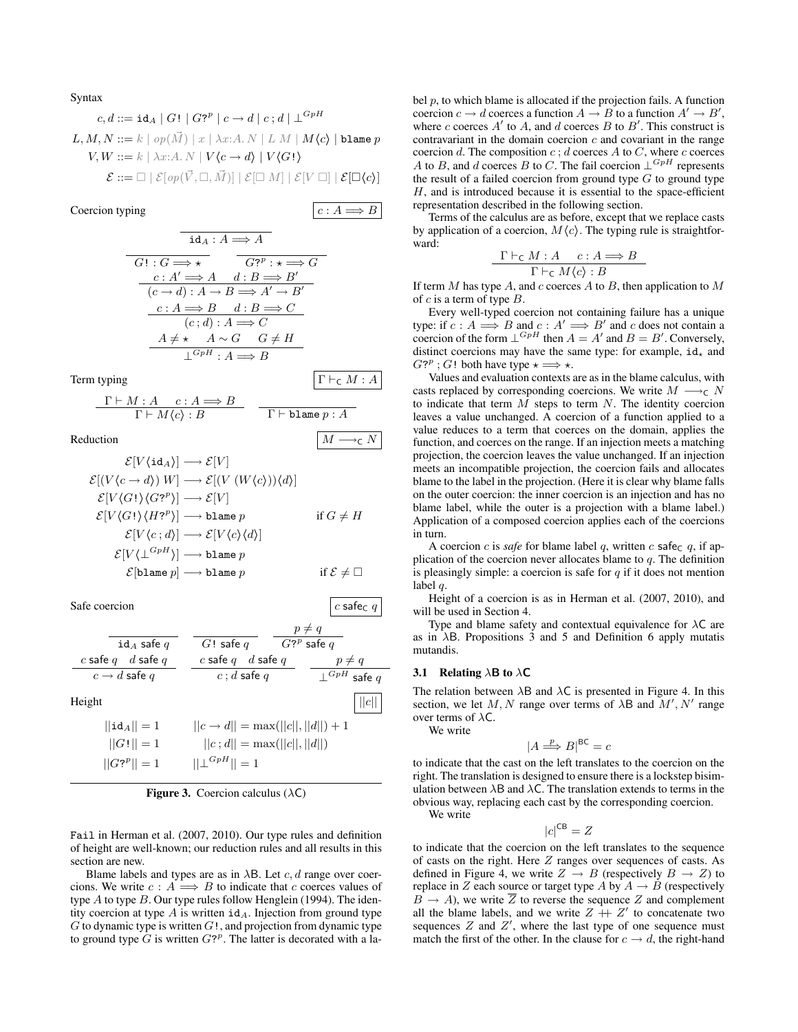Syntax

$$
c, d ::= \mathbf{id}_A \mid G! \mid G?^p \mid c \to d \mid c; d \mid \bot^{GpH}
$$
  
\n
$$
L, M, N ::= k \mid op(\vec{M}) \mid x \mid \lambda x: A. N \mid L M \mid M \langle c \rangle \mid \text{blame } p
$$
  
\n
$$
V, W ::= k \mid \lambda x: A. N \mid V \langle c \to d \rangle \mid V \langle G! \rangle
$$
  
\n
$$
\mathcal{E} ::= \square \mid \mathcal{E}[ op(\vec{V}, \square, \vec{M})] \mid \mathcal{E}[\square M] \mid \mathcal{E}[V \square] \mid \mathcal{E}[\square \langle c \rangle]
$$

Coercion typing  $\big| c : A \Longrightarrow B$ 

$$
id_A: A \Longrightarrow A
$$
  
\n
$$
\overline{G! : G \Longrightarrow \star} \qquad \overline{G?^{p} : \star \Longrightarrow G}
$$
  
\n
$$
\underline{c: A' \Longrightarrow A \quad d: B \Longrightarrow B'}
$$
  
\n
$$
\overline{(c \rightarrow d) : A \rightarrow B \Longrightarrow A' \rightarrow B'}
$$
  
\n
$$
\underline{c: A \Longrightarrow B \quad d: B \Longrightarrow C}
$$
  
\n
$$
\overline{(c; d) : A \Longrightarrow C}
$$
  
\n
$$
\underline{A \neq \star} \quad A \sim G \quad G \neq H
$$
  
\n
$$
\bot^{GpH} : A \Longrightarrow B
$$

Term typing  $\Gamma \vdash_{\mathsf{C}} M : A$ 

$$
\frac{\Gamma \vdash M : A \quad c : A \Longrightarrow B}{\Gamma \vdash M \langle c \rangle : B} \quad \frac{\Gamma \vdash \text{blame } p : A}{\Gamma \vdash \text{blame } p : A}
$$

Reduction  $\mid M \longrightarrow_c N$ 

$$
\mathcal{E}[V(\mathrm{id}_A)] \longrightarrow \mathcal{E}[V]
$$
\n
$$
\mathcal{E}[(V\langle c \to d \rangle) W] \longrightarrow \mathcal{E}[(V(W\langle c \rangle))\langle d \rangle]
$$
\n
$$
\mathcal{E}[V\langle G! \rangle \langle G?^p \rangle] \longrightarrow \mathcal{E}[V]
$$
\n
$$
\mathcal{E}[V\langle G! \rangle \langle H?^p \rangle] \longrightarrow \mathrm{blame} \ p \qquad \text{if } G \neq H
$$
\n
$$
\mathcal{E}[V\langle c; d \rangle] \longrightarrow \mathcal{E}[V\langle c \rangle \langle d \rangle]
$$
\n
$$
\mathcal{E}[V\langle \perp^{GpH} \rangle] \longrightarrow \mathrm{blame} \ p \qquad \text{if } \mathcal{E} \neq \square
$$

Safe coercion  $\Big| c$  safe $\Big| c$  safe $\Big| c$ 

|                          |                                                | $p \neq q$                |
|--------------------------|------------------------------------------------|---------------------------|
| id a safe $q$            | $G!$ safe q                                    | $G$ ? $^p$ safe $q$       |
| c safe $q$ d safe q      | c safe $q$ d safe q                            | $p \neq q$                |
| $c \rightarrow d$ safe q | $c$ ; d safe q                                 | $\mathsf{L}^{GpH}$ safe q |
| Height                   |                                                |                           |
| $  \mathtt{id}_A  =1$    | $  c \rightarrow d   = \max(  c  ,   d  ) + 1$ |                           |
| $  G!  =1$               | $  c; d   = max(  c  ,   d  )$                 |                           |
| $  G_2^p  =1$            | $  \bot^{GpH}  =1$                             |                           |

**Figure 3.** Coercion calculus  $(\lambda C)$ 

Fail in Herman et al. (2007, 2010). Our type rules and definition of height are well-known; our reduction rules and all results in this section are new.

Blame labels and types are as in  $\lambda$ B. Let c, d range over coercions. We write  $c : A \implies B$  to indicate that c coerces values of type  $A$  to type  $B$ . Our type rules follow Henglein (1994). The identity coercion at type  $A$  is written  $id_A$ . Injection from ground type  $G$  to dynamic type is written  $G!$ , and projection from dynamic type to ground type  $\hat{G}$  is written  $G$ ?<sup>*p*</sup>. The latter is decorated with a label  $p$ , to which blame is allocated if the projection fails. A function coercion  $c \to d$  coerces a function  $A \to B$  to a function  $A' \to B'$ , where c coerces  $A'$  to  $A$ , and d coerces  $B$  to  $B'$ . This construct is contravariant in the domain coercion  $c$  and covariant in the range coercion d. The composition  $c$ ; d coerces A to C, where c coerces A to B, and d coerces B to C. The fail coercion  $\perp^{GpH}$  represents the result of a failed coercion from ground type  $G$  to ground type  $H$ , and is introduced because it is essential to the space-efficient representation described in the following section.

Terms of the calculus are as before, except that we replace casts by application of a coercion,  $M\langle c \rangle$ . The typing rule is straightforward:

$$
\frac{\Gamma \vdash_{\mathsf{C}} M : A \quad c : A \Longrightarrow B}{\Gamma \vdash_{\mathsf{C}} M \langle c \rangle : B}
$$

If term  $M$  has type  $A$ , and  $c$  coerces  $A$  to  $B$ , then application to  $M$ of  $c$  is a term of type  $B$ .

Every well-typed coercion not containing failure has a unique type: if  $c : A \longrightarrow B$  and  $c : A' \longrightarrow B'$  and c does not contain a coercion of the form  $\perp^{GpH}$  then  $A = A'$  and  $B = B'$ . Conversely, distinct coercions may have the same type: for example,  $id_x$  and  $G^{2^p}$ ; G! both have type  $\star \Longrightarrow \star$ .

Values and evaluation contexts are as in the blame calculus, with casts replaced by corresponding coercions. We write  $M \longrightarrow_{\mathsf{C}} N$ to indicate that term  $M$  steps to term  $N$ . The identity coercion leaves a value unchanged. A coercion of a function applied to a value reduces to a term that coerces on the domain, applies the function, and coerces on the range. If an injection meets a matching projection, the coercion leaves the value unchanged. If an injection meets an incompatible projection, the coercion fails and allocates blame to the label in the projection. (Here it is clear why blame falls on the outer coercion: the inner coercion is an injection and has no blame label, while the outer is a projection with a blame label.) Application of a composed coercion applies each of the coercions in turn.

A coercion c is *safe* for blame label q, written c safec q, if application of the coercion never allocates blame to  $q$ . The definition is pleasingly simple: a coercion is safe for  $q$  if it does not mention label q.

Height of a coercion is as in Herman et al. (2007, 2010), and will be used in Section 4.

Type and blame safety and contextual equivalence for  $\lambda C$  are as in λB. Propositions 3 and 5 and Definition 6 apply mutatis mutandis.

#### 3.1 Relating  $\lambda$ B to  $\lambda$ C

The relation between  $\lambda$ B and  $\lambda$ C is presented in Figure 4. In this section, we let M, N range over terms of  $\lambda$ B and  $M'$ , N' range over terms of  $\lambda C$ . We write

$$
|A \stackrel{p}{\Longrightarrow} B|^{BC} = c
$$

to indicate that the cast on the left translates to the coercion on the right. The translation is designed to ensure there is a lockstep bisimulation between  $\lambda$ B and  $\lambda$ C. The translation extends to terms in the obvious way, replacing each cast by the corresponding coercion.

We write

$$
|c|^{CB} = Z
$$

to indicate that the coercion on the left translates to the sequence of casts on the right. Here  $Z$  ranges over sequences of casts. As defined in Figure 4, we write  $Z \rightarrow B$  (respectively  $B \rightarrow Z$ ) to replace in Z each source or target type A by  $A \rightarrow B$  (respectively  $\overline{B} \to A$ ), we write  $\overline{Z}$  to reverse the sequence Z and complement all the blame labels, and we write  $Z + Z'$  to concatenate two sequences  $Z$  and  $Z'$ , where the last type of one sequence must match the first of the other. In the clause for  $c \rightarrow d$ , the right-hand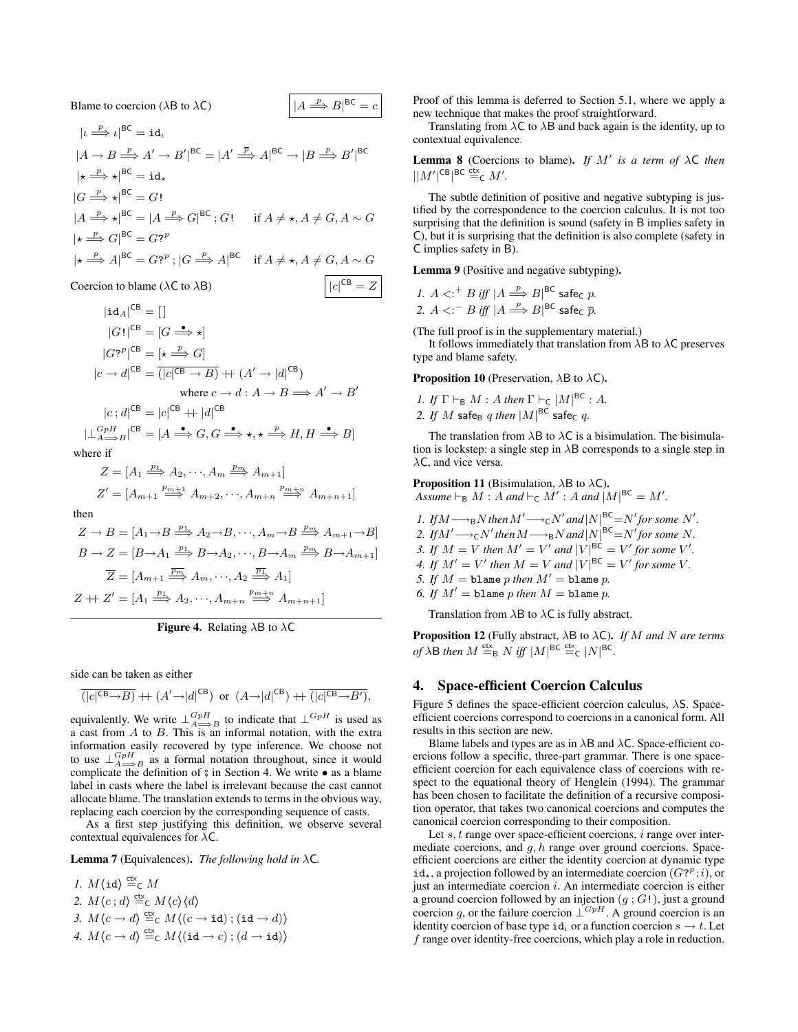$$
Blame to coercion (\lambda B to \lambda C) \qquad |A
$$

 $|\iota \stackrel{p}{\Longrightarrow} \iota|^{\textsf{BC}} = \texttt{id}_\iota$  $|A \rightarrow B \stackrel{p}{\Longrightarrow} A' \rightarrow B'|^{BC} = |A' \stackrel{\overline{p}}{\Longrightarrow} A|^{BC} \rightarrow |B \stackrel{p}{\Longrightarrow} B'|^{BC}$  $|\star \stackrel{p}{\Longrightarrow} \star |^{\mathsf{BC}} = \mathtt{id}_{\star}$  $|G \stackrel{p}{\Longrightarrow} \star|^{BC} = G!$  $|A \stackrel{p}{\Longrightarrow} \star|^{BC} = |A \stackrel{p}{\Longrightarrow} G|^{BC}$ ; G! if  $A \neq \star, A \neq G, A \sim G$  $|\star \stackrel{p}{\Longrightarrow} G|^{BC} = G?^{p}$  $\ket{\star} \stackrel{p}{\Longrightarrow} A \vert^{BC} = G?^p$ ;  $\ket{G \stackrel{p}{\Longrightarrow}} A \vert^{BC}$  if  $A \neq \star, A \neq G, A \sim G$ 

 $\Rightarrow$  B|<sup>BC</sup> = c

 $|c|^{CB} = Z$ 

**C**oercion to blame (
$$
\lambda
$$
C to  $\lambda$ B)  $|c|$ 

$$
|\text{id}_A|^{CB} = []
$$
  
\n
$$
|G!|^{CB} = [G \xrightarrow{\bullet} \star]
$$
  
\n
$$
|G?^p|^{CB} = [\star \xrightarrow{p} G]
$$
  
\n
$$
|c \to d|^{CB} = (|c|^{CB} \to B) + (A' \to |d|^{CB})
$$
  
\nwhere  $c \to d : A \to B \implies A' \to B'$   
\n
$$
|c; d|^{CB} = |c|^{CB} + |d|^{CB}
$$
  
\n
$$
|\perp_{A \xrightarrow{B}}^{GpH} |^{CB} = [A \xrightarrow{\bullet} G, G \xrightarrow{\bullet} \star, \star \xrightarrow{p} H, H \xrightarrow{\bullet} B]
$$
  
\nwhere if  
\n
$$
Z = [A_1 \xrightarrow{p_1} A_2, \cdots, A_m \xrightarrow{p_m} A_{m+1}]
$$

$$
Z' = [A_{m+1} \stackrel{p_{m+1}}{\Longrightarrow} A_{m+2}, \cdots, A_{m+n} \stackrel{p_{m+n}}{\Longrightarrow} A_{m+n+1}]
$$

$$
Z \to B = [A_1 \to B \xrightarrow{p_1} A_2 \to B, \cdots, A_m \to B \xrightarrow{p_m} A_{m+1} \to B]
$$
  
\n
$$
B \to Z = [B \to A_1 \xrightarrow{p_1} B \to A_2, \cdots, B \to A_m \xrightarrow{p_m} B \to A_{m+1}]
$$
  
\n
$$
\overline{Z} = [A_{m+1} \xrightarrow{\overline{p_m}} A_m, \cdots, A_2 \xrightarrow{\overline{p_1}} A_1]
$$
  
\n
$$
Z + Z' = [A_1 \xrightarrow{p_1} A_2, \cdots, A_{m+n} \xrightarrow{p_{m+n}} A_{m+n+1}]
$$

**Figure 4.** Relating  $\lambda$ B to  $\lambda$ C

side can be taken as either

$$
\overline{(|c|^{\mathsf{CB}} \!\to\! B)} \; \!+\; \!(A' \!\to\! |d|^{\mathsf{CB}}) \;\; \text{or} \;\; (A \!\to\! |d|^{\mathsf{CB}}) \; \!+\! \overline{(|c|^{\mathsf{CB}} \!\to\! B')},
$$

equivalently. We write  $\perp_{A\Longrightarrow B}^{GpH}$  to indicate that  $\perp^{GpH}$  is used as a cast from  $A$  to  $B$ . This is an informal notation, with the extra information easily recovered by type inference. We choose not to use  $\perp_{A\Longrightarrow B}^{GpH}$  as a formal notation throughout, since it would complicate the definition of  $\frac{1}{9}$  in Section 4. We write • as a blame label in casts where the label is irrelevant because the cast cannot allocate blame. The translation extends to terms in the obvious way, replacing each coercion by the corresponding sequence of casts.

As a first step justifying this definition, we observe several contextual equivalences for  $\lambda C$ .

Lemma 7 (Equivalences). *The following hold in* λC*.*

\n- 1. 
$$
M \langle \mathbf{id} \rangle \stackrel{\text{dx}}{=}{}_C M
$$
\n- 2.  $M \langle c; d \rangle \stackrel{\text{dx}}{=}{}_C M \langle c \rangle \langle d \rangle$
\n- 3.  $M \langle c \rightarrow d \rangle \stackrel{\text{dx}}{=}{}_C M \langle (c \rightarrow \mathbf{id}) ; (\mathbf{id} \rightarrow d) \rangle$
\n- 4.  $M \langle c \rightarrow d \rangle \stackrel{\text{dx}}{=}{}_C M \langle (\mathbf{id} \rightarrow c) ; (d \rightarrow \mathbf{id}) \rangle$
\n

Proof of this lemma is deferred to Section 5.1, where we apply a new technique that makes the proof straightforward.

Translating from  $\lambda C$  to  $\lambda B$  and back again is the identity, up to contextual equivalence.

**Lemma 8** (Coercions to blame). *If*  $M'$  *is a term of*  $\lambda$ C *then*  $||M'||^{CB}||^{BC} \stackrel{\text{ctx}}{=} _{C} M'.$ 

The subtle definition of positive and negative subtyping is justified by the correspondence to the coercion calculus. It is not too surprising that the definition is sound (safety in B implies safety in C), but it is surprising that the definition is also complete (safety in C implies safety in B).

Lemma 9 (Positive and negative subtyping).

*1.*  $A \leq f : B \text{ iff } |A \stackrel{p}{\Longrightarrow} B|^{BC}$  safec p. 2.  $A <:~ B \text{ iff } |A \stackrel{p}{\Longrightarrow} B|^{BC}$  safe<sub>C</sub>  $\overline{p}$ .

(The full proof is in the supplementary material.)

It follows immediately that translation from  $\lambda$ B to  $\lambda$ C preserves type and blame safety.

**Proposition 10** (Preservation,  $\lambda$ B to  $\lambda$ C).

*1. If*  $\Gamma \vdash_B M : A$  *then*  $\Gamma \vdash_C |M|^{BC} : A$ *.* 

*2. If*  $M$  *safe<sub>B</sub> q then*  $|M|^{BC}$  safe<sub>C</sub> q.

The translation from  $\lambda$ B to  $\lambda$ C is a bisimulation. The bisimulation is lockstep: a single step in  $\lambda$ B corresponds to a single step in  $\lambda$ C, and vice versa.

**Proposition 11** (Bisimulation,  $\lambda$ B to  $\lambda$ C). Assume  $\vdash_B M : A$  *and*  $\vdash_C M' : A$  *and*  $|M|^{BC} = M'.$ 

- *1. If* $M \longrightarrow_B N$  *then*  $M' \longrightarrow_C N'$  *and*  $|N|^{BC} = N'$  *for some*  $N'$ *.*
- 2. If  $M' \longrightarrow_{\mathsf{C}} N'$  then  $M \longrightarrow_{\mathsf{B}} N$  and  $|N|^{BC} = N'$  for some N.
- *3. If*  $M = V$  *then*  $M' = V'$  *and*  $|V|^{BC} = V'$  *for some*  $V'$ *.*
- *4.* If  $M' = V'$  then  $M = V$  and  $|V|^{BC} = V'$  for some V.
- *5. If*  $M =$  blame  $p$  *then*  $M' =$  blame  $p$ .
- 6. If  $M' =$  blame p *then*  $M =$  blame p.

Translation from  $\lambda$ B to  $\lambda$ C is fully abstract.

Proposition 12 (Fully abstract, λB to λC). *If* M *and* N *are terms of*  $\lambda$ **B** *then*  $M \stackrel{\text{ctx}}{=} B N$  *iff*  $|M|^{BC} \stackrel{\text{ctx}}{=} C |N|^{BC}$ *.* 

### 4. Space-efficient Coercion Calculus

Figure 5 defines the space-efficient coercion calculus,  $\lambda$ S. Spaceefficient coercions correspond to coercions in a canonical form. All results in this section are new.

Blame labels and types are as in  $\lambda$ B and  $\lambda$ C. Space-efficient coercions follow a specific, three-part grammar. There is one spaceefficient coercion for each equivalence class of coercions with respect to the equational theory of Henglein (1994). The grammar has been chosen to facilitate the definition of a recursive composition operator, that takes two canonical coercions and computes the canonical coercion corresponding to their composition.

Let  $s, t$  range over space-efficient coercions,  $i$  range over intermediate coercions, and  $q, h$  range over ground coercions. Spaceefficient coercions are either the identity coercion at dynamic type  $id_{\star}$ , a projection followed by an intermediate coercion  $(G^{p}, i)$ , or just an intermediate coercion  $i$ . An intermediate coercion is either a ground coercion followed by an injection  $(g; G!)$ , just a ground coercion g, or the failure coercion  $\perp^{GpH}$ . A ground coercion is an identity coercion of base type id<sub>i</sub> or a function coercion  $s \to t$ . Let f range over identity-free coercions, which play a role in reduction.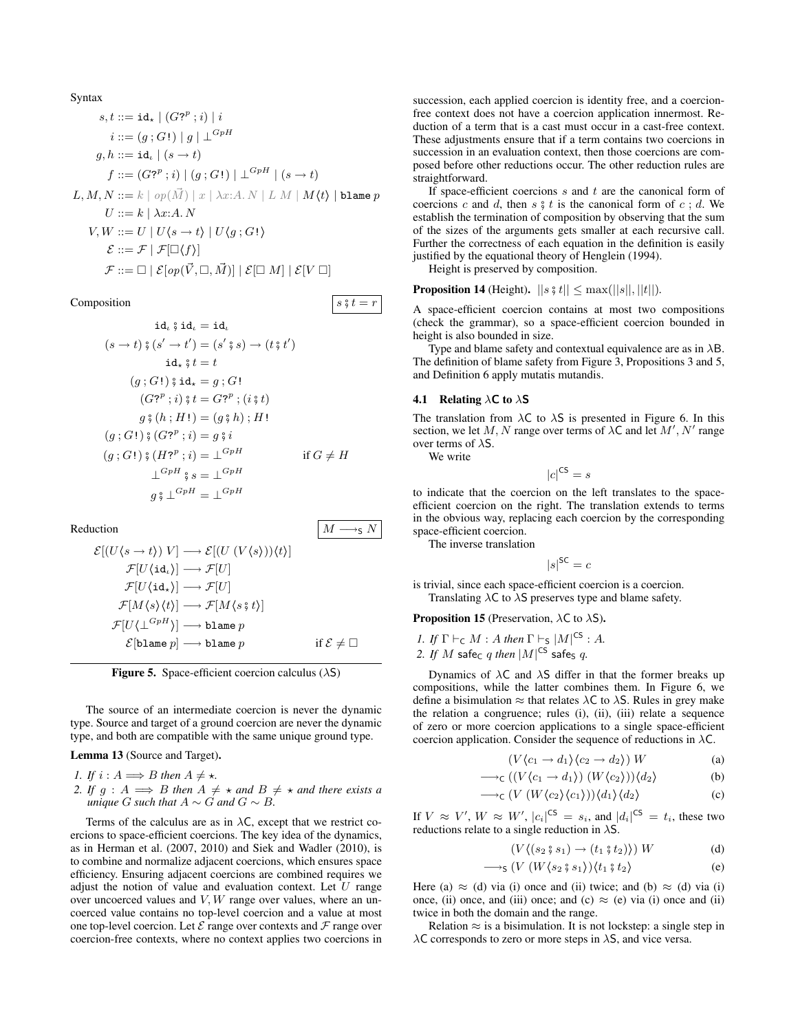$$
\begin{aligned}\n\text{Syntax} \\
s, t &::= \text{id}_{\star} \mid (G?^{p}; i) \mid i \\
i &::= (g; G!) \mid g \mid \perp^{GpH} \\
g, h &::= \text{id}_{\iota} \mid (s \to t) \\
f &::= (G?^{p}; i) \mid (g; G!) \mid \perp^{GpH} \mid (s \to t) \\
L, M, N &::= k \mid op(\vec{M}) \mid x \mid \lambda x : A. N \mid L M \mid M(t) \mid \text{blame } p \\
U &::= k \mid \lambda x : A. N \\
V, W &::= U \mid U \langle s \to t \rangle \mid U \langle g; G! \rangle \\
&\mathcal{E} ::= \mathcal{F} \mid \mathcal{F}[\Box(f)] \\
\mathcal{F} ::= \Box \mid \mathcal{E}[op(\vec{V}, \Box, \vec{M})] \mid \mathcal{E}[\Box M] \mid \mathcal{E}[V \; \Box]\n\end{aligned}
$$

#### Composition  $s \, \hat{s} \, t = r$

$$
id_{\iota} \S d_{\iota} = id_{\iota}
$$
\n
$$
(s \to t) \S (s' \to t') = (s' \S s) \to (t \S t')
$$
\n
$$
id_{\star} \S t = t
$$
\n
$$
(g; G!) \S id_{\star} = g; G!
$$
\n
$$
(G7^{p}; i) \S t = G7^{p}; (i \S t)
$$
\n
$$
g \S (h; H!) = (g \S h); H!
$$
\n
$$
(g; G!) \S (G7^{p}; i) = g \S i
$$
\n
$$
(g; G!) \S (H7^{p}; i) = L^{GpH}
$$
\n
$$
L^{GpH} \S s = L^{GpH}
$$
\n
$$
g \S L^{GpH} = L^{GpH}
$$

Reduction  $\mid M \longrightarrow_S N$  $\mathcal{E}[(U\langle s \rightarrow t \rangle) V] \longrightarrow \mathcal{E}[(U(V\langle s \rangle))\langle t \rangle]$  $\mathcal{F}[U(\texttt{id}_\iota)] \longrightarrow \mathcal{F}[U]$  $\mathcal{F}[U\langle \texttt{id}_\star \rangle] \longrightarrow \mathcal{F}[U]$  $\mathcal{F}[M\langle s\rangle\langle t\rangle]\longrightarrow \mathcal{F}[M\langle s\overset{\circ}{,}t\rangle]$  ${\mathcal F}[U\langle \bot^{GpH}\rangle]\longrightarrow \text{\tt blame}\ p$  $\mathcal{E}[\mathtt{blame}\ p]\longrightarrow\mathtt{blame}\ p$  if  $\mathcal{E}\neq\Box$ 

Figure 5. Space-efficient coercion calculus  $(\lambda S)$ 

The source of an intermediate coercion is never the dynamic type. Source and target of a ground coercion are never the dynamic type, and both are compatible with the same unique ground type.

Lemma 13 (Source and Target).

- *1. If*  $i : A \Longrightarrow B$  *then*  $A \neq \star$ *.*
- *2.* If  $g : A \implies B$  then  $A \neq \star$  and  $B \neq \star$  and there exists a *unique* G such that  $A \sim G$  and  $G \sim B$ .

Terms of the calculus are as in  $\lambda C$ , except that we restrict coercions to space-efficient coercions. The key idea of the dynamics, as in Herman et al. (2007, 2010) and Siek and Wadler (2010), is to combine and normalize adjacent coercions, which ensures space efficiency. Ensuring adjacent coercions are combined requires we adjust the notion of value and evaluation context. Let  $U$  range over uncoerced values and  $V, W$  range over values, where an uncoerced value contains no top-level coercion and a value at most one top-level coercion. Let  $\mathcal E$  range over contexts and  $\mathcal F$  range over coercion-free contexts, where no context applies two coercions in succession, each applied coercion is identity free, and a coercionfree context does not have a coercion application innermost. Reduction of a term that is a cast must occur in a cast-free context. These adjustments ensure that if a term contains two coercions in succession in an evaluation context, then those coercions are composed before other reductions occur. The other reduction rules are straightforward.

If space-efficient coercions  $s$  and  $t$  are the canonical form of coercions c and d, then s  $\frac{3}{5}t$  is the canonical form of c; d. We establish the termination of composition by observing that the sum of the sizes of the arguments gets smaller at each recursive call. Further the correctness of each equation in the definition is easily justified by the equational theory of Henglein (1994).

Height is preserved by composition.

#### **Proposition 14** (Height).  $||s \nless t|| \le \max(||s||, ||t||)$ .

A space-efficient coercion contains at most two compositions (check the grammar), so a space-efficient coercion bounded in height is also bounded in size.

Type and blame safety and contextual equivalence are as in  $\lambda$ B. The definition of blame safety from Figure 3, Propositions 3 and 5, and Definition 6 apply mutatis mutandis.

#### 4.1 Relating  $\lambda$ C to  $\lambda$ S

The translation from  $\lambda C$  to  $\lambda S$  is presented in Figure 6. In this section, we let M, N range over terms of  $\lambda C$  and let  $M', N'$  range over terms of  $\lambda$ S.

We write

$$
|c|^{\mathsf{CS}} = s
$$

to indicate that the coercion on the left translates to the spaceefficient coercion on the right. The translation extends to terms in the obvious way, replacing each coercion by the corresponding space-efficient coercion.

The inverse translation

$$
|s|^{SC} = c
$$

is trivial, since each space-efficient coercion is a coercion. Translating  $\lambda C$  to  $\lambda S$  preserves type and blame safety.

**Proposition 15** (Preservation,  $\lambda C$  to  $\lambda S$ ).

- *1. If*  $\Gamma \vdash_{\mathsf{C}} M$  : A *then*  $\Gamma \vdash_{\mathsf{S}} |M|^{\mathsf{CS}}$  : A.
- 2. If  $M$  safe<sub>C</sub>  $q$  then  $|M|^{CS}$  safe<sub>S</sub>  $q$ .

Dynamics of  $\lambda$ C and  $\lambda$ S differ in that the former breaks up compositions, while the latter combines them. In Figure 6, we define a bisimulation  $\approx$  that relates  $\lambda$ C to  $\lambda$ S. Rules in grey make the relation a congruence; rules (i), (ii), (iii) relate a sequence of zero or more coercion applications to a single space-efficient coercion application. Consider the sequence of reductions in  $\lambda C$ .

$$
(V\langle c_1 \to d_1 \rangle \langle c_2 \to d_2 \rangle) W \tag{a}
$$

$$
\longrightarrow_{\mathsf{C}} ((V\langle c_1 \to d_1 \rangle) (W\langle c_2 \rangle))\langle d_2 \rangle
$$
 (b)

$$
\longrightarrow_{\mathsf{C}} (V(W\langle c_2\rangle\langle c_1\rangle))\langle d_1\rangle\langle d_2\rangle
$$
 (c)

If  $V \approx V'$ ,  $W \approx W'$ ,  $|c_i|^{\text{CS}} = s_i$ , and  $|d_i|^{\text{CS}} = t_i$ , these two reductions relate to a single reduction in  $\lambda$ S.

$$
(V\langle (s_2 \rvert s_1) \to (t_1 \rvert s_2) \rangle) W \tag{d}
$$

$$
\longrightarrow_{\mathsf{S}} (V(W \langle s_2 \, \hat{\mathfrak{s}} \, s_1 \rangle) \langle t_1 \, \hat{\mathfrak{s}} \, t_2 \rangle \tag{e}
$$

Here (a)  $\approx$  (d) via (i) once and (ii) twice; and (b)  $\approx$  (d) via (i) once, (ii) once, and (iii) once; and (c)  $\approx$  (e) via (i) once and (ii) twice in both the domain and the range.

Relation  $\approx$  is a bisimulation. It is not lockstep: a single step in  $\lambda$ C corresponds to zero or more steps in  $\lambda$ S, and vice versa.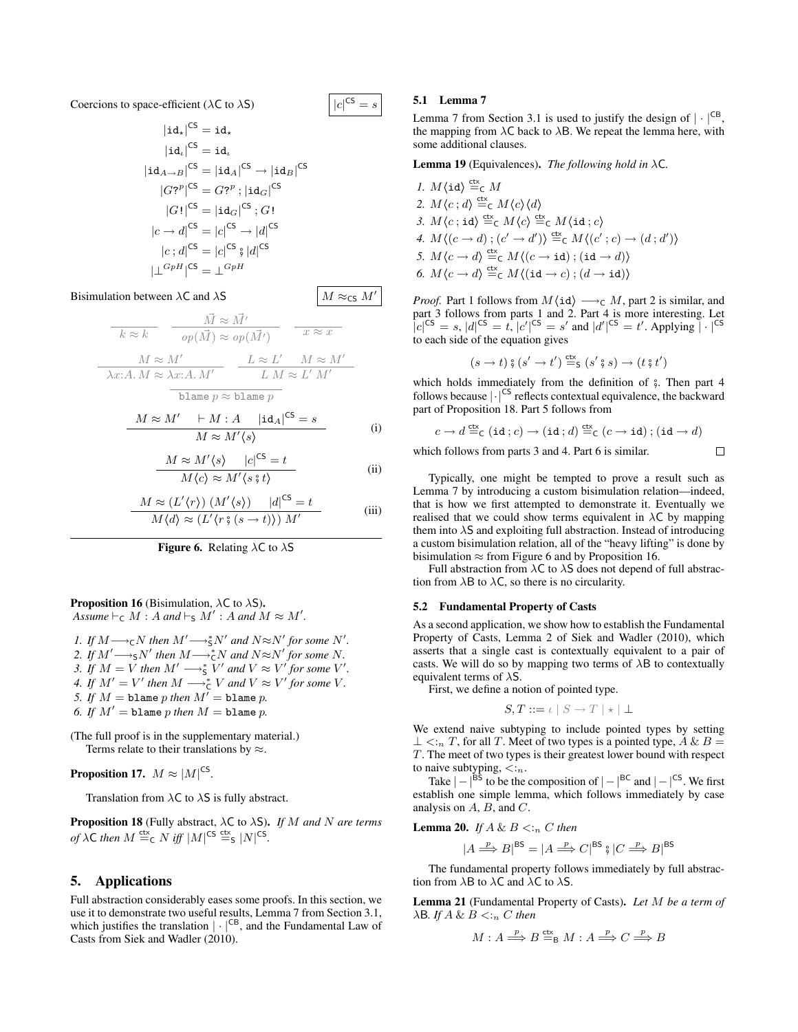Coercions to space-efficient ( $\lambda$ C to  $\lambda$ S)

$$
|\textbf{id}_{\star}|^{CS} = \textbf{id}_{\star}
$$
  
\n
$$
|\textbf{id}_{\downarrow}|^{CS} = \textbf{id}_{\iota}
$$
  
\n
$$
|\textbf{id}_{A \to B}|^{CS} = |\textbf{id}_{A}|^{CS} \to |\textbf{id}_{B}|^{CS}
$$
  
\n
$$
|G^{2p}|^{CS} = G^{2p} ; |\textbf{id}_{G}|^{CS}
$$
  
\n
$$
|G!|^{CS} = |\textbf{id}_{G}|^{CS} ; G!
$$
  
\n
$$
|c \to d|^{CS} = |c|^{CS} \to |d|^{CS}
$$
  
\n
$$
|c; d|^{CS} = |c|^{CS} \circ |d|^{CS}
$$
  
\n
$$
|\perp^{GpH}|^{CS} = \perp^{GpH}
$$

### Bisimulation between  $\lambda$ C and  $\lambda$ S  $\vert M \approx_{CS} M'$

$$
\frac{\vec{M} \approx \vec{M'}}{k \approx k} \quad \frac{\vec{M} \approx \vec{M'}}{op(\vec{M}) \approx op(\vec{M'})} \quad \frac{\vec{x} \approx \vec{x}}{exp(\vec{M'})}
$$
\n
$$
\frac{M \approx M'}{\lambda x:A.M} \approx \frac{L \approx L'}{L M} \approx \frac{M}{M'} \frac{M}{M'}
$$
\n
$$
\frac{\text{blame } p \approx \text{blame } p}{p}
$$

$$
\frac{M \approx M' + M : A |id_A|^{CS} = s}{M \approx M' \langle s \rangle}
$$
 (i)

$$
\frac{M \approx M'\langle s \rangle |c|^{CS} = t}{M\langle c \rangle \approx M'\langle s \, \hat{s} \, t \rangle}
$$
 (ii)

$$
\frac{M \approx (L'\langle r\rangle) (M'\langle s\rangle) \quad |d|^{CS} = t}{M\langle d\rangle \approx (L'\langle r \mathbin{\hbox{$\circ$}} (s \to t)\rangle) M'}
$$
 (iii)



#### **Proposition 16** (Bisimulation,  $\lambda C$  to  $\lambda S$ ). *Assume*  $\vdash_{\mathsf{C}} M$ : *A and*  $\vdash_{\mathsf{S}} M'$ : *A and*  $M \approx M'$ .

*I.* If  $M \longrightarrow_{\mathsf{C}} N$  then  $M' \longrightarrow_{\mathsf{S}}^* N'$  and  $N \approx N'$  for some N'. 2. If  $M' \longrightarrow_S N'$  then  $M \longrightarrow_C^* N$  and  $N \approx N'$  for some N. 3. If  $M = V$  then  $M' \longrightarrow_{S}^{*} V'$  and  $V \approx V'$  for some  $V'$ . *4.* If  $M' = V'$  then  $M \longrightarrow_{\mathsf{C}}^* V$  and  $V \approx V'$  for some V. *5. If*  $M =$  blame  $p$  *then*  $M' =$  blame  $p$ . 6. If  $M' =$  blame p *then*  $M =$  blame p.

(The full proof is in the supplementary material.) Terms relate to their translations by  $\approx$ .

Proposition 17.  $M \approx |M|^{\text{CS}}$ .

Translation from  $\lambda C$  to  $\lambda S$  is fully abstract.

Proposition 18 (Fully abstract, λC to λS). *If* M *and* N *are terms of*  $\lambda$ **C** *then*  $M \stackrel{\text{ctx}}{=} c$   $N$  *iff*  $|M|^{CS} \stackrel{\text{ctx}}{=} s$   $|N|^{CS}$ .

### 5. Applications

Full abstraction considerably eases some proofs. In this section, we use it to demonstrate two useful results, Lemma 7 from Section 3.1, which justifies the translation  $|\cdot|^{CB}$ , and the Fundamental Law of Casts from Siek and Wadler (2010).

#### 5.1 Lemma 7

 $|c|^\mathsf{CS} = s$ 

Lemma 7 from Section 3.1 is used to justify the design of  $|\cdot|^{CB}$ , the mapping from  $\lambda C$  back to  $\lambda B$ . We repeat the lemma here, with some additional clauses.

Lemma 19 (Equivalences). *The following hold in* λC*.*

*1.*  $M\langle id \rangle \stackrel{\text{ctx}}{=}{}_C M$ 2.  $M\langle c ; d \rangle \stackrel{\text{ctx}}{=}{}_{\text{C}} M\langle c \rangle \langle d \rangle$ *3.*  $M\langle c \,;\texttt{id} \rangle \stackrel{\text{ctx}}{=}{}_{\texttt{C}} M\langle c \rangle \stackrel{\text{ctx}}{=}{}_{\texttt{C}} M\langle \texttt{id} \,; c \rangle$ 4.  $M\langle (c \rightarrow d) ; (c' \rightarrow d') \rangle \stackrel{\text{ctx}}{=} c M\langle (c' ; c) \rightarrow (d ; d') \rangle$ *5.*  $M\langle c \to d \rangle \stackrel{\text{ctx}}{=} c M\langle (c \to \text{id}) ; (\text{id} \to d) \rangle$ *6.*  $M\langle c \to d \rangle \stackrel{\text{ctx}}{=}{}_{\text{C}} M\langle (\text{id} \to c) ; (d \to \text{id}) \rangle$ 

*Proof.* Part 1 follows from  $M\langle id \rangle \longrightarrow_C M$ , part 2 is similar, and part 3 follows from parts 1 and 2. Part 4 is more interesting. Let  $|c|^{CS} = s, |d|^{CS} = t, |c'|^{CS} = s'$  and  $|d'|^{CS} = t'$ . Applying  $|\cdot|^{CS}$ to each side of the equation gives

$$
(s \to t) \mathbin{\text{\%}} (s' \to t') \stackrel{\text{ctx}}{=} s (s' \mathbin{\text{\%}} s) \to (t \mathbin{\text{\%}} t')
$$

which holds immediately from the definition of  $\frac{1}{2}$ . Then part 4 follows because  $|\cdot|^{\text{CS}}$  reflects contextual equivalence, the backward part of Proposition 18. Part 5 follows from

$$
c \to d \stackrel{\mathrm{ctx}}{=} _{\mathsf{C}} (\mathtt{id}; c) \to (\mathtt{id}; d) \stackrel{\mathrm{ctx}}{=} _{\mathsf{C}} (c \to \mathtt{id}) ; (\mathtt{id} \to d)
$$

 $\Box$ 

which follows from parts 3 and 4. Part 6 is similar.

Typically, one might be tempted to prove a result such as Lemma 7 by introducing a custom bisimulation relation—indeed, that is how we first attempted to demonstrate it. Eventually we realised that we could show terms equivalent in  $\lambda C$  by mapping them into  $\lambda$ S and exploiting full abstraction. Instead of introducing a custom bisimulation relation, all of the "heavy lifting" is done by bisimulation  $\approx$  from Figure 6 and by Proposition 16.

Full abstraction from  $\lambda C$  to  $\lambda S$  does not depend of full abstraction from  $\lambda$ B to  $\lambda$ C, so there is no circularity.

#### 5.2 Fundamental Property of Casts

As a second application, we show how to establish the Fundamental Property of Casts, Lemma 2 of Siek and Wadler (2010), which asserts that a single cast is contextually equivalent to a pair of casts. We will do so by mapping two terms of  $\lambda$ B to contextually equivalent terms of  $\lambda$ S.

First, we define a notion of pointed type.

$$
S, T ::= \iota \mid S \to T \mid \star \mid \bot
$$

We extend naive subtyping to include pointed types by setting  $\perp$  <:<sub>n</sub> T, for all T. Meet of two types is a pointed type, A & B = T. The meet of two types is their greatest lower bound with respect to naive subtyping,  $\lt_{n}$ .

Take  $|-|^{BS}$  to be the composition of  $|-|^{BC}$  and  $|-|^{CS}$ . We first establish one simple lemma, which follows immediately by case analysis on  $A$ ,  $B$ , and  $C$ .

**Lemma 20.** *If*  $A \& B \leq:_{n} C$  *then* 

$$
|A \stackrel{p}{\Longrightarrow} B|^{BS} = |A \stackrel{p}{\Longrightarrow} C|^{BS} \text{ }\text{ }\text{ }\text{ }\text{ }\mid C \stackrel{p}{\Longrightarrow} B|^{BS}
$$

The fundamental property follows immediately by full abstraction from  $\lambda$ B to  $\lambda$ C and  $\lambda$ C to  $\lambda$ S.

Lemma 21 (Fundamental Property of Casts). *Let* M *be a term of*  $\lambda$ B. *If*  $A \& B \leq:_{n} C$  *then* 

$$
M: A \stackrel{p}{\Longrightarrow} B \stackrel{\text{ctx}}{\Longrightarrow} M: A \stackrel{p}{\Longrightarrow} C \stackrel{p}{\Longrightarrow} B
$$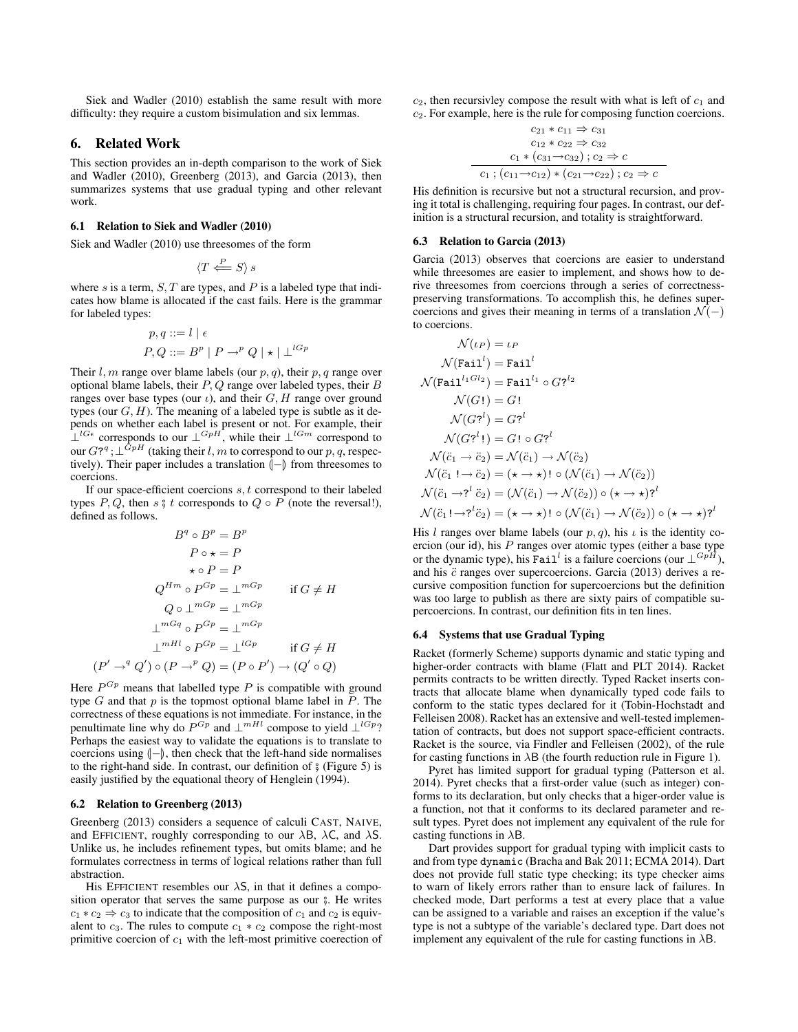Siek and Wadler (2010) establish the same result with more difficulty: they require a custom bisimulation and six lemmas.

#### 6. Related Work

This section provides an in-depth comparison to the work of Siek and Wadler (2010), Greenberg (2013), and Garcia (2013), then summarizes systems that use gradual typing and other relevant work.

#### 6.1 Relation to Siek and Wadler (2010)

Siek and Wadler (2010) use threesomes of the form

$$
\langle T \stackrel{P}{\Longleftarrow} S \rangle s
$$

where s is a term,  $S, T$  are types, and P is a labeled type that indicates how blame is allocated if the cast fails. Here is the grammar for labeled types:

$$
p, q ::= l | \epsilon
$$
  

$$
P, Q ::= Bp | P \rightarrow^{p} Q | \star | \perp^{lGp}
$$

Their  $l, m$  range over blame labels (our  $p, q$ ), their  $p, q$  range over optional blame labels, their  $P$ ,  $Q$  range over labeled types, their  $B$ ranges over base types (our  $\iota$ ), and their  $G, H$  range over ground types (our  $G, H$ ). The meaning of a labeled type is subtle as it depends on whether each label is present or not. For example, their  $\perp^{lG\epsilon}$  corresponds to our  $\perp^{GpH}$ , while their  $\perp^{lGm}$  correspond to our  $G$ ?<sup>*a*</sup>;  $\perp$ <sup>*GpH*</sup> (taking their *l*, *m* to correspond to our *p*, *q*, respectively). Their paper includes a translation  $\left\vert -\right\rangle$  from threesomes to coercions.

If our space-efficient coercions  $s, t$  correspond to their labeled types P, Q, then s  $\frac{6}{5}$  t corresponds to Q  $\circ$  P (note the reversal!), defined as follows.

$$
B^{q} \circ B^{p} = B^{p}
$$
  
\n
$$
P \circ \star = P
$$
  
\n
$$
\star \circ P = P
$$
  
\n
$$
Q^{Hm} \circ P^{Gp} = \perp^{mGp} \quad \text{if } G \neq H
$$
  
\n
$$
Q \circ \perp^{mGp} = \perp^{mGp}
$$
  
\n
$$
\perp^{mGq} \circ P^{Gp} = \perp^{mGp} \quad \text{if } G \neq H
$$
  
\n
$$
P' \rightarrow^{q} Q') \circ (P \rightarrow^{p} Q) = (P \circ P') \rightarrow (Q' \circ Q)
$$

Here  $P^{G_p}$  means that labelled type P is compatible with ground type  $G$  and that  $p$  is the topmost optional blame label in  $\tilde{P}$ . The correctness of these equations is not immediate. For instance, in the penultimate line why do  $P^{G_p}$  and  $\perp^{mHl}$  compose to yield  $\perp^{lG_p}$ ? Perhaps the easiest way to validate the equations is to translate to coercions using  $\langle$ - $\rangle$ , then check that the left-hand side normalises to the right-hand side. In contrast, our definition of  $\frac{1}{2}$  (Figure 5) is easily justified by the equational theory of Henglein (1994).

#### 6.2 Relation to Greenberg (2013)

Greenberg (2013) considers a sequence of calculi CAST, NAIVE, and EFFICIENT, roughly corresponding to our  $\lambda$ B,  $\lambda$ C, and  $\lambda$ S. Unlike us, he includes refinement types, but omits blame; and he formulates correctness in terms of logical relations rather than full abstraction.

His EFFICIENT resembles our  $\lambda$ S, in that it defines a composition operator that serves the same purpose as our  $\frac{1}{2}$ . He writes  $c_1 * c_2 \Rightarrow c_3$  to indicate that the composition of  $c_1$  and  $c_2$  is equivalent to  $c_3$ . The rules to compute  $c_1 * c_2$  compose the right-most primitive coercion of  $c_1$  with the left-most primitive coerection of

 $c_2$ , then recursivley compose the result with what is left of  $c_1$  and c2. For example, here is the rule for composing function coercions.

$$
c_{21} * c_{11} \Rightarrow c_{31}
$$
  
\n
$$
c_{12} * c_{22} \Rightarrow c_{32}
$$
  
\n
$$
c_1 * (c_{31} \rightarrow c_{32}) ; c_2 \Rightarrow c
$$
  
\n
$$
c_1 ; (c_{11} \rightarrow c_{12}) * (c_{21} \rightarrow c_{22}) ; c_2 \Rightarrow c
$$

His definition is recursive but not a structural recursion, and proving it total is challenging, requiring four pages. In contrast, our definition is a structural recursion, and totality is straightforward.

#### 6.3 Relation to Garcia (2013)

Garcia (2013) observes that coercions are easier to understand while threesomes are easier to implement, and shows how to derive threesomes from coercions through a series of correctnesspreserving transformations. To accomplish this, he defines supercoercions and gives their meaning in terms of a translation  $\mathcal{N}(-)$ to coercions.

$$
\mathcal{N}(\iota_P) = \iota_P
$$
\n
$$
\mathcal{N}(\text{Fail}^l) = \text{Fail}^l
$$
\n
$$
\mathcal{N}(\text{Fail}^{l_1 Gl_2}) = \text{Fail}^{l_1} \circ G?^{l_2}
$$
\n
$$
\mathcal{N}(G!) = G!
$$
\n
$$
\mathcal{N}(G?^l) = G?^l
$$
\n
$$
\mathcal{N}(G?^l!) = G! \circ G?^l
$$
\n
$$
\mathcal{N}(\ddot{c}_1 \rightarrow \ddot{c}_2) = \mathcal{N}(\ddot{c}_1) \rightarrow \mathcal{N}(\ddot{c}_2)
$$
\n
$$
\mathcal{N}(\ddot{c}_1 \rightarrow \ddot{c}_2) = (\star \rightarrow \star)! \circ (\mathcal{N}(\ddot{c}_1) \rightarrow \mathcal{N}(\ddot{c}_2))
$$
\n
$$
\mathcal{N}(\ddot{c}_1 \rightarrow ?^l \ddot{c}_2) = (\mathcal{N}(\ddot{c}_1) \rightarrow \mathcal{N}(\ddot{c}_2)) \circ (\star \rightarrow \star)?^l
$$
\n
$$
\mathcal{N}(\ddot{c}_1! \rightarrow ?^l \ddot{c}_2) = (\star \rightarrow \star)! \circ (\mathcal{N}(\ddot{c}_1) \rightarrow \mathcal{N}(\ddot{c}_2)) \circ (\star \rightarrow \star)?^l
$$

His l ranges over blame labels (our  $p, q$ ), his  $\iota$  is the identity coercion (our id), his  $P$  ranges over atomic types (either a base type or the dynamic type), his Fail<sup>l</sup> is a failure coercions (our  $\perp^{GpH}$ ), and his  $\ddot{c}$  ranges over supercoercions. Garcia (2013) derives a recursive composition function for supercoercions but the definition was too large to publish as there are sixty pairs of compatible supercoercions. In contrast, our definition fits in ten lines.

#### 6.4 Systems that use Gradual Typing

Racket (formerly Scheme) supports dynamic and static typing and higher-order contracts with blame (Flatt and PLT 2014). Racket permits contracts to be written directly. Typed Racket inserts contracts that allocate blame when dynamically typed code fails to conform to the static types declared for it (Tobin-Hochstadt and Felleisen 2008). Racket has an extensive and well-tested implementation of contracts, but does not support space-efficient contracts. Racket is the source, via Findler and Felleisen (2002), of the rule for casting functions in  $\lambda$ B (the fourth reduction rule in Figure 1).

Pyret has limited support for gradual typing (Patterson et al. 2014). Pyret checks that a first-order value (such as integer) conforms to its declaration, but only checks that a higer-order value is a function, not that it conforms to its declared parameter and result types. Pyret does not implement any equivalent of the rule for casting functions in  $\lambda$ B.

Dart provides support for gradual typing with implicit casts to and from type dynamic (Bracha and Bak 2011; ECMA 2014). Dart does not provide full static type checking; its type checker aims to warn of likely errors rather than to ensure lack of failures. In checked mode, Dart performs a test at every place that a value can be assigned to a variable and raises an exception if the value's type is not a subtype of the variable's declared type. Dart does not implement any equivalent of the rule for casting functions in  $\lambda$ B.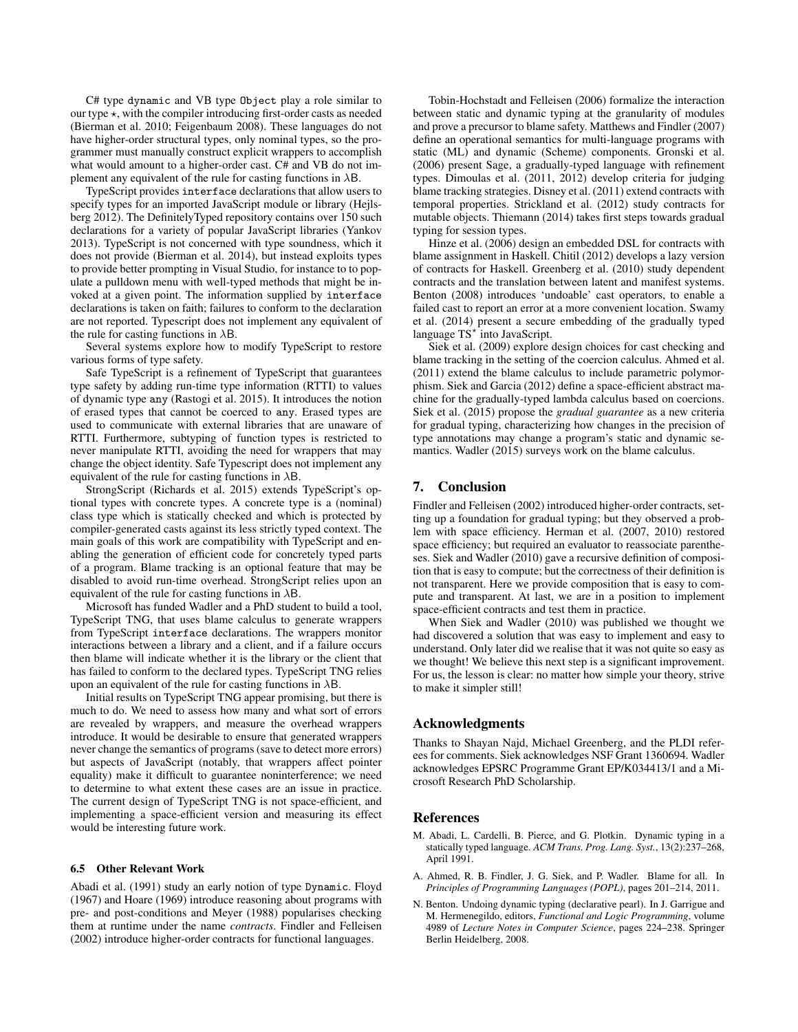C# type dynamic and VB type Object play a role similar to our type  $\star$ , with the compiler introducing first-order casts as needed (Bierman et al. 2010; Feigenbaum 2008). These languages do not have higher-order structural types, only nominal types, so the programmer must manually construct explicit wrappers to accomplish what would amount to a higher-order cast. C# and VB do not implement any equivalent of the rule for casting functions in  $\lambda$ B.

TypeScript provides interface declarations that allow users to specify types for an imported JavaScript module or library (Hejlsberg 2012). The DefinitelyTyped repository contains over 150 such declarations for a variety of popular JavaScript libraries (Yankov 2013). TypeScript is not concerned with type soundness, which it does not provide (Bierman et al. 2014), but instead exploits types to provide better prompting in Visual Studio, for instance to to populate a pulldown menu with well-typed methods that might be invoked at a given point. The information supplied by interface declarations is taken on faith; failures to conform to the declaration are not reported. Typescript does not implement any equivalent of the rule for casting functions in  $\lambda$ B.

Several systems explore how to modify TypeScript to restore various forms of type safety.

Safe TypeScript is a refinement of TypeScript that guarantees type safety by adding run-time type information (RTTI) to values of dynamic type any (Rastogi et al. 2015). It introduces the notion of erased types that cannot be coerced to any. Erased types are used to communicate with external libraries that are unaware of RTTI. Furthermore, subtyping of function types is restricted to never manipulate RTTI, avoiding the need for wrappers that may change the object identity. Safe Typescript does not implement any equivalent of the rule for casting functions in  $\lambda$ B.

StrongScript (Richards et al. 2015) extends TypeScript's optional types with concrete types. A concrete type is a (nominal) class type which is statically checked and which is protected by compiler-generated casts against its less strictly typed context. The main goals of this work are compatibility with TypeScript and enabling the generation of efficient code for concretely typed parts of a program. Blame tracking is an optional feature that may be disabled to avoid run-time overhead. StrongScript relies upon an equivalent of the rule for casting functions in  $\lambda$ B.

Microsoft has funded Wadler and a PhD student to build a tool, TypeScript TNG, that uses blame calculus to generate wrappers from TypeScript interface declarations. The wrappers monitor interactions between a library and a client, and if a failure occurs then blame will indicate whether it is the library or the client that has failed to conform to the declared types. TypeScript TNG relies upon an equivalent of the rule for casting functions in  $\lambda$ B.

Initial results on TypeScript TNG appear promising, but there is much to do. We need to assess how many and what sort of errors are revealed by wrappers, and measure the overhead wrappers introduce. It would be desirable to ensure that generated wrappers never change the semantics of programs (save to detect more errors) but aspects of JavaScript (notably, that wrappers affect pointer equality) make it difficult to guarantee noninterference; we need to determine to what extent these cases are an issue in practice. The current design of TypeScript TNG is not space-efficient, and implementing a space-efficient version and measuring its effect would be interesting future work.

#### 6.5 Other Relevant Work

Abadi et al. (1991) study an early notion of type Dynamic. Floyd (1967) and Hoare (1969) introduce reasoning about programs with pre- and post-conditions and Meyer (1988) popularises checking them at runtime under the name *contracts*. Findler and Felleisen (2002) introduce higher-order contracts for functional languages.

Tobin-Hochstadt and Felleisen (2006) formalize the interaction between static and dynamic typing at the granularity of modules and prove a precursor to blame safety. Matthews and Findler (2007) define an operational semantics for multi-language programs with static (ML) and dynamic (Scheme) components. Gronski et al. (2006) present Sage, a gradually-typed language with refinement types. Dimoulas et al. (2011, 2012) develop criteria for judging blame tracking strategies. Disney et al. (2011) extend contracts with temporal properties. Strickland et al. (2012) study contracts for mutable objects. Thiemann (2014) takes first steps towards gradual typing for session types.

Hinze et al. (2006) design an embedded DSL for contracts with blame assignment in Haskell. Chitil (2012) develops a lazy version of contracts for Haskell. Greenberg et al. (2010) study dependent contracts and the translation between latent and manifest systems. Benton (2008) introduces 'undoable' cast operators, to enable a failed cast to report an error at a more convenient location. Swamy et al. (2014) present a secure embedding of the gradually typed language TS<sup>\*</sup> into JavaScript.

Siek et al. (2009) explore design choices for cast checking and blame tracking in the setting of the coercion calculus. Ahmed et al. (2011) extend the blame calculus to include parametric polymorphism. Siek and Garcia (2012) define a space-efficient abstract machine for the gradually-typed lambda calculus based on coercions. Siek et al. (2015) propose the *gradual guarantee* as a new criteria for gradual typing, characterizing how changes in the precision of type annotations may change a program's static and dynamic semantics. Wadler (2015) surveys work on the blame calculus.

#### 7. Conclusion

Findler and Felleisen (2002) introduced higher-order contracts, setting up a foundation for gradual typing; but they observed a problem with space efficiency. Herman et al. (2007, 2010) restored space efficiency; but required an evaluator to reassociate parentheses. Siek and Wadler (2010) gave a recursive definition of composition that is easy to compute; but the correctness of their definition is not transparent. Here we provide composition that is easy to compute and transparent. At last, we are in a position to implement space-efficient contracts and test them in practice.

When Siek and Wadler (2010) was published we thought we had discovered a solution that was easy to implement and easy to understand. Only later did we realise that it was not quite so easy as we thought! We believe this next step is a significant improvement. For us, the lesson is clear: no matter how simple your theory, strive to make it simpler still!

#### Acknowledgments

Thanks to Shayan Najd, Michael Greenberg, and the PLDI referees for comments. Siek acknowledges NSF Grant 1360694. Wadler acknowledges EPSRC Programme Grant EP/K034413/1 and a Microsoft Research PhD Scholarship.

#### References

- M. Abadi, L. Cardelli, B. Pierce, and G. Plotkin. Dynamic typing in a statically typed language. *ACM Trans. Prog. Lang. Syst.*, 13(2):237–268, April 1991.
- A. Ahmed, R. B. Findler, J. G. Siek, and P. Wadler. Blame for all. In *Principles of Programming Languages (POPL)*, pages 201–214, 2011.
- N. Benton. Undoing dynamic typing (declarative pearl). In J. Garrigue and M. Hermenegildo, editors, *Functional and Logic Programming*, volume 4989 of *Lecture Notes in Computer Science*, pages 224–238. Springer Berlin Heidelberg, 2008.